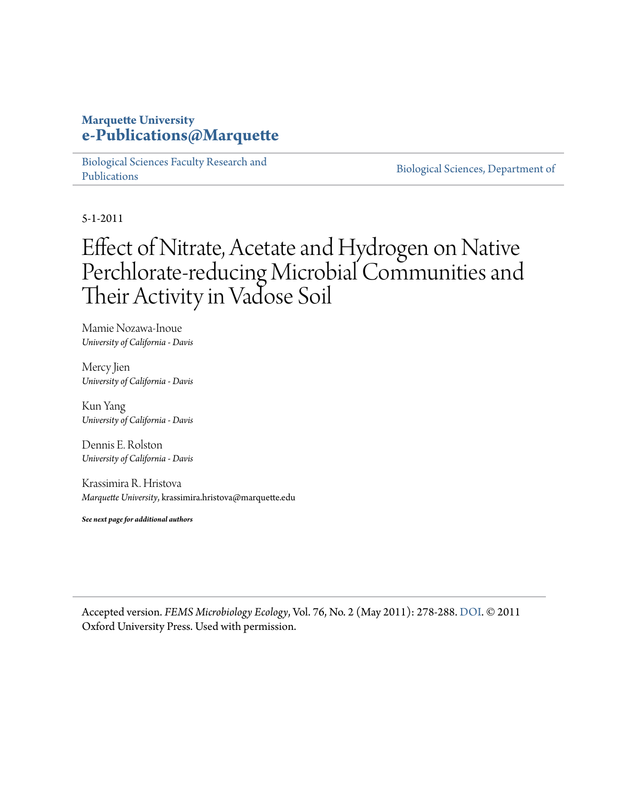#### **Marquette University [e-Publications@Marquette](https://epublications.marquette.edu)**

[Biological Sciences Faculty Research and](https://epublications.marquette.edu/bio_fac) [Publications](https://epublications.marquette.edu/bio_fac)

[Biological Sciences, Department of](https://epublications.marquette.edu/biology)

5-1-2011

## Effect of Nitrate, Acetate and Hydrogen on Native Perchlorate-reducing Microbial Communities and Their Activity in Vadose Soil

Mamie Nozawa-Inoue *University of California - Davis*

Mercy Jien *University of California - Davis*

Kun Yang *University of California - Davis*

Dennis E. Rolston *University of California - Davis*

Krassimira R. Hristova *Marquette University*, krassimira.hristova@marquette.edu

*See next page for additional authors*

Accepted version. *FEMS Microbiology Ecology*, Vol. 76, No. 2 (May 2011): 278-288. [DOI](http://dx.doi.org/10.1111/j.1574-6941.2011.01045.x). © 2011 Oxford University Press. Used with permission.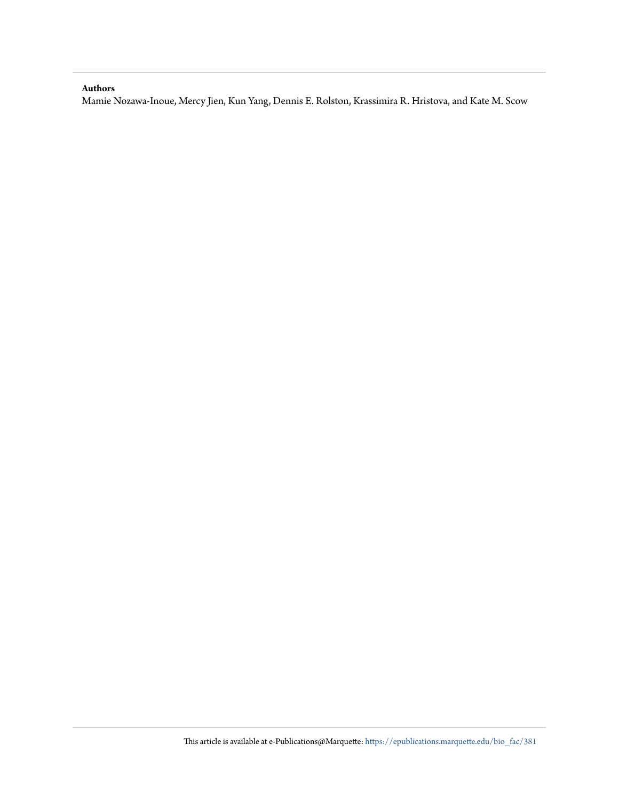#### **Authors**

Mamie Nozawa-Inoue, Mercy Jien, Kun Yang, Dennis E. Rolston, Krassimira R. Hristova, and Kate M. Scow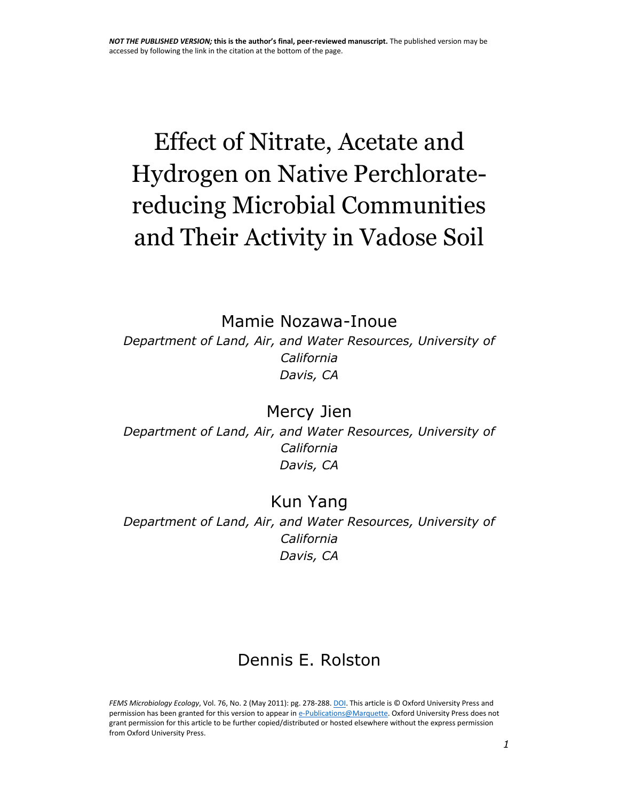# Effect of Nitrate, Acetate and Hydrogen on Native Perchloratereducing Microbial Communities and Their Activity in Vadose Soil

[Mamie Nozawa-Inoue](http://www.ncbi.nlm.nih.gov/pubmed/?term=Nozawa-Inoue%20M%5Bauth%5D)

*Department of Land, Air, and Water Resources, University of California Davis, CA*

[Mercy Jien](http://www.ncbi.nlm.nih.gov/pubmed/?term=Jien%20M%5Bauth%5D) *Department of Land, Air, and Water Resources, University of California Davis, CA*

#### [Kun Yang](http://www.ncbi.nlm.nih.gov/pubmed/?term=Yang%20K%5Bauth%5D)

*Department of Land, Air, and Water Resources, University of California Davis, CA*

## [Dennis E. Rolston](http://www.ncbi.nlm.nih.gov/pubmed/?term=Rolston%20DE%5Bauth%5D)

*FEMS Microbiology Ecology*, Vol. 76, No. 2 (May 2011): pg. 278-288[. DOI.](http://dx.doi.org/10.1111/j.1574-6941.2011.01045.x) This article is © Oxford University Press and permission has been granted for this version to appear i[n e-Publications@Marquette.](http://epublications.marquette.edu/) Oxford University Press does not grant permission for this article to be further copied/distributed or hosted elsewhere without the express permission from Oxford University Press.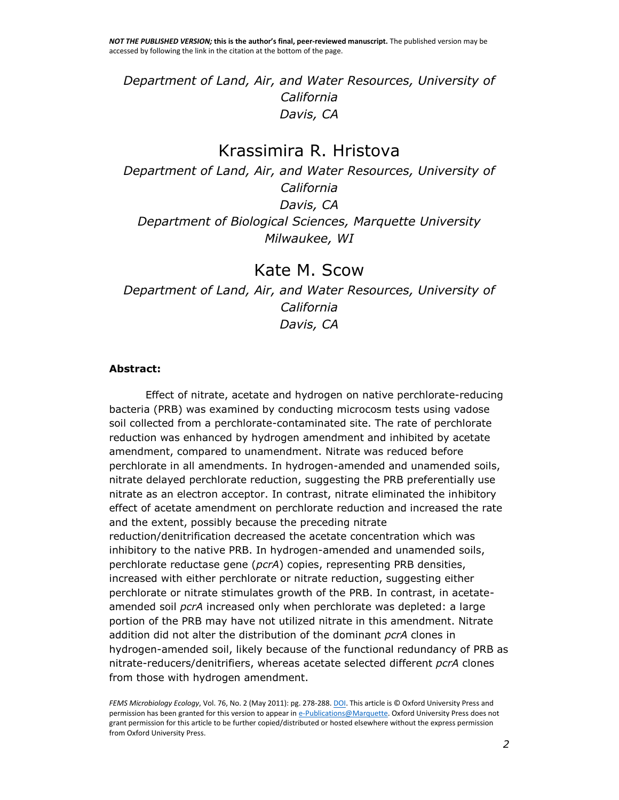*Department of Land, Air, and Water Resources, University of California Davis, CA*

#### [Krassimira R. Hristova](http://www.ncbi.nlm.nih.gov/pubmed/?term=Hristova%20KR%5Bauth%5D)

*Department of Land, Air, and Water Resources, University of California Davis, CA Department of Biological Sciences, Marquette University Milwaukee, WI*

[Kate M. Scow](http://www.ncbi.nlm.nih.gov/pubmed/?term=Scow%20KM%5Bauth%5D) *Department of Land, Air, and Water Resources, University of California Davis, CA*

#### **Abstract:**

Effect of nitrate, acetate and hydrogen on native perchlorate-reducing bacteria (PRB) was examined by conducting microcosm tests using vadose soil collected from a perchlorate-contaminated site. The rate of perchlorate reduction was enhanced by hydrogen amendment and inhibited by acetate amendment, compared to unamendment. Nitrate was reduced before perchlorate in all amendments. In hydrogen-amended and unamended soils, nitrate delayed perchlorate reduction, suggesting the PRB preferentially use nitrate as an electron acceptor. In contrast, nitrate eliminated the inhibitory effect of acetate amendment on perchlorate reduction and increased the rate and the extent, possibly because the preceding nitrate reduction/denitrification decreased the acetate concentration which was inhibitory to the native PRB. In hydrogen-amended and unamended soils, perchlorate reductase gene (*pcrA*) copies, representing PRB densities, increased with either perchlorate or nitrate reduction, suggesting either perchlorate or nitrate stimulates growth of the PRB. In contrast, in acetateamended soil *pcrA* increased only when perchlorate was depleted: a large portion of the PRB may have not utilized nitrate in this amendment. Nitrate addition did not alter the distribution of the dominant *pcrA* clones in hydrogen-amended soil, likely because of the functional redundancy of PRB as nitrate-reducers/denitrifiers, whereas acetate selected different *pcrA* clones from those with hydrogen amendment.

*FEMS Microbiology Ecology*, Vol. 76, No. 2 (May 2011): pg. 278-288[. DOI.](http://dx.doi.org/10.1111/j.1574-6941.2011.01045.x) This article is © Oxford University Press and permission has been granted for this version to appear i[n e-Publications@Marquette.](http://epublications.marquette.edu/) Oxford University Press does not grant permission for this article to be further copied/distributed or hosted elsewhere without the express permission from Oxford University Press.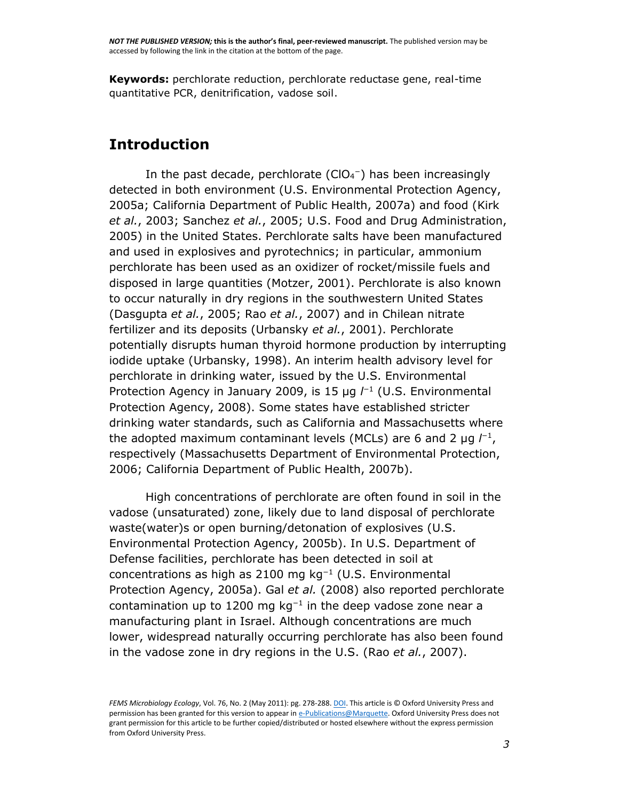**Keywords:** perchlorate reduction, perchlorate reductase gene, real-time quantitative PCR, denitrification, vadose soil.

#### **Introduction**

In the past decade, perchlorate  $(CIO<sub>4</sub><sup>-</sup>)$  has been increasingly detected in both environment [\(U.S. Environmental Protection Agency,](http://www.ncbi.nlm.nih.gov/pmc/articles/PMC3086929/#R50)  [2005a;](http://www.ncbi.nlm.nih.gov/pmc/articles/PMC3086929/#R50) [California Department of Public Health, 2007a\)](http://www.ncbi.nlm.nih.gov/pmc/articles/PMC3086929/#R5) and food [\(Kirk](http://www.ncbi.nlm.nih.gov/pmc/articles/PMC3086929/#R19)  *et al.*[, 2003;](http://www.ncbi.nlm.nih.gov/pmc/articles/PMC3086929/#R19) [Sanchez](http://www.ncbi.nlm.nih.gov/pmc/articles/PMC3086929/#R38) *et al.*, 2005; [U.S. Food and Drug Administration,](http://www.ncbi.nlm.nih.gov/pmc/articles/PMC3086929/#R53)  [2005\)](http://www.ncbi.nlm.nih.gov/pmc/articles/PMC3086929/#R53) in the United States. Perchlorate salts have been manufactured and used in explosives and pyrotechnics; in particular, ammonium perchlorate has been used as an oxidizer of rocket/missile fuels and disposed in large quantities [\(Motzer, 2001\)](http://www.ncbi.nlm.nih.gov/pmc/articles/PMC3086929/#R24). Perchlorate is also known to occur naturally in dry regions in the southwestern United States [\(Dasgupta](http://www.ncbi.nlm.nih.gov/pmc/articles/PMC3086929/#R11) *et al.*, 2005; Rao *et al.*[, 2007\)](http://www.ncbi.nlm.nih.gov/pmc/articles/PMC3086929/#R34) and in Chilean nitrate fertilizer and its deposits [\(Urbansky](http://www.ncbi.nlm.nih.gov/pmc/articles/PMC3086929/#R49) *et al.*, 2001). Perchlorate potentially disrupts human thyroid hormone production by interrupting iodide uptake [\(Urbansky, 1998\)](http://www.ncbi.nlm.nih.gov/pmc/articles/PMC3086929/#R48). An interim health advisory level for perchlorate in drinking water, issued by the U.S. Environmental Protection Agency in January 2009, is 15 µg  *(U.S. Environmental* [Protection Agency, 2008\)](http://www.ncbi.nlm.nih.gov/pmc/articles/PMC3086929/#R52). Some states have established stricter drinking water standards, such as California and Massachusetts where the adopted maximum contaminant levels (MCLs) are 6 and 2  $\mu$ g  $l^{-1}$ , respectively [\(Massachusetts Department of Environmental Protection,](http://www.ncbi.nlm.nih.gov/pmc/articles/PMC3086929/#R23)  [2006;](http://www.ncbi.nlm.nih.gov/pmc/articles/PMC3086929/#R23) [California Department of Public Health, 2007b\)](http://www.ncbi.nlm.nih.gov/pmc/articles/PMC3086929/#R6).

High concentrations of perchlorate are often found in soil in the vadose (unsaturated) zone, likely due to land disposal of perchlorate waste(water)s or open burning/detonation of explosives [\(U.S.](http://www.ncbi.nlm.nih.gov/pmc/articles/PMC3086929/#R51)  [Environmental Protection Agency, 2005b\)](http://www.ncbi.nlm.nih.gov/pmc/articles/PMC3086929/#R51). In U.S. Department of Defense facilities, perchlorate has been detected in soil at concentrations as high as 2100 mg kg<sup>−</sup><sup>1</sup> [\(U.S. Environmental](http://www.ncbi.nlm.nih.gov/pmc/articles/PMC3086929/#R50)  [Protection Agency, 2005a\)](http://www.ncbi.nlm.nih.gov/pmc/articles/PMC3086929/#R50). Gal *et al.* [\(2008\)](http://www.ncbi.nlm.nih.gov/pmc/articles/PMC3086929/#R12) also reported perchlorate contamination up to 1200 mg  $kg^{-1}$  in the deep vadose zone near a manufacturing plant in Israel. Although concentrations are much lower, widespread naturally occurring perchlorate has also been found in the vadose zone in dry regions in the U.S. (Rao *et al.*[, 2007\)](http://www.ncbi.nlm.nih.gov/pmc/articles/PMC3086929/#R34).

*FEMS Microbiology Ecology*, Vol. 76, No. 2 (May 2011): pg. 278-288[. DOI.](http://dx.doi.org/10.1111/j.1574-6941.2011.01045.x) This article is © Oxford University Press and permission has been granted for this version to appear i[n e-Publications@Marquette.](http://epublications.marquette.edu/) Oxford University Press does not grant permission for this article to be further copied/distributed or hosted elsewhere without the express permission from Oxford University Press.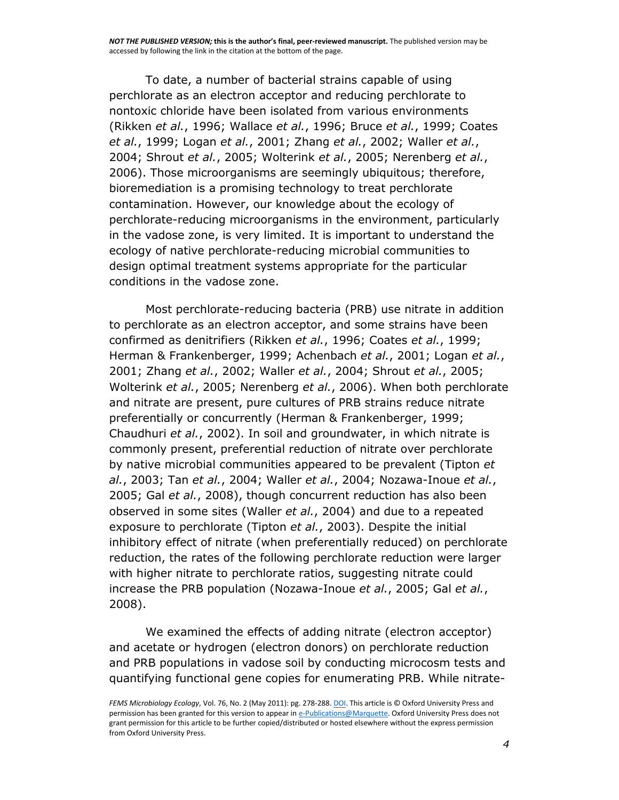To date, a number of bacterial strains capable of using perchlorate as an electron acceptor and reducing perchlorate to nontoxic chloride have been isolated from various environments [\(Rikken](http://www.ncbi.nlm.nih.gov/pmc/articles/PMC3086929/#R35) *et al.*, 1996; [Wallace](http://www.ncbi.nlm.nih.gov/pmc/articles/PMC3086929/#R54) *et al.*, 1996; [Bruce](http://www.ncbi.nlm.nih.gov/pmc/articles/PMC3086929/#R3) *et al.*, 1999; [Coates](http://www.ncbi.nlm.nih.gov/pmc/articles/PMC3086929/#R9)  *et al.*[, 1999;](http://www.ncbi.nlm.nih.gov/pmc/articles/PMC3086929/#R9) [Logan](http://www.ncbi.nlm.nih.gov/pmc/articles/PMC3086929/#R21) *et al.*, 2001; [Zhang](http://www.ncbi.nlm.nih.gov/pmc/articles/PMC3086929/#R58) *et al.*, 2002; [Waller](http://www.ncbi.nlm.nih.gov/pmc/articles/PMC3086929/#R55) *et al.*, [2004;](http://www.ncbi.nlm.nih.gov/pmc/articles/PMC3086929/#R55) [Shrout](http://www.ncbi.nlm.nih.gov/pmc/articles/PMC3086929/#R40) *et al.*, 2005; [Wolterink](http://www.ncbi.nlm.nih.gov/pmc/articles/PMC3086929/#R56) *et al.*, 2005; [Nerenberg](http://www.ncbi.nlm.nih.gov/pmc/articles/PMC3086929/#R26) *et al.*, [2006\)](http://www.ncbi.nlm.nih.gov/pmc/articles/PMC3086929/#R26). Those microorganisms are seemingly ubiquitous; therefore, bioremediation is a promising technology to treat perchlorate contamination. However, our knowledge about the ecology of perchlorate-reducing microorganisms in the environment, particularly in the vadose zone, is very limited. It is important to understand the ecology of native perchlorate-reducing microbial communities to design optimal treatment systems appropriate for the particular conditions in the vadose zone.

Most perchlorate-reducing bacteria (PRB) use nitrate in addition to perchlorate as an electron acceptor, and some strains have been confirmed as denitrifiers [\(Rikken](http://www.ncbi.nlm.nih.gov/pmc/articles/PMC3086929/#R35) *et al.*, 1996; [Coates](http://www.ncbi.nlm.nih.gov/pmc/articles/PMC3086929/#R9) *et al.*, 1999; [Herman & Frankenberger, 1999;](http://www.ncbi.nlm.nih.gov/pmc/articles/PMC3086929/#R16) [Achenbach](http://www.ncbi.nlm.nih.gov/pmc/articles/PMC3086929/#R1) *et al.*, 2001; [Logan](http://www.ncbi.nlm.nih.gov/pmc/articles/PMC3086929/#R21) *et al.*, [2001;](http://www.ncbi.nlm.nih.gov/pmc/articles/PMC3086929/#R21) [Zhang](http://www.ncbi.nlm.nih.gov/pmc/articles/PMC3086929/#R58) *et al.*, 2002; [Waller](http://www.ncbi.nlm.nih.gov/pmc/articles/PMC3086929/#R55) *et al.*, 2004; [Shrout](http://www.ncbi.nlm.nih.gov/pmc/articles/PMC3086929/#R40) *et al.*, 2005; [Wolterink](http://www.ncbi.nlm.nih.gov/pmc/articles/PMC3086929/#R56) *et al.*, 2005; [Nerenberg](http://www.ncbi.nlm.nih.gov/pmc/articles/PMC3086929/#R26) *et al.*, 2006). When both perchlorate and nitrate are present, pure cultures of PRB strains reduce nitrate preferentially or concurrently [\(Herman & Frankenberger, 1999;](http://www.ncbi.nlm.nih.gov/pmc/articles/PMC3086929/#R16) [Chaudhuri](http://www.ncbi.nlm.nih.gov/pmc/articles/PMC3086929/#R7) *et al.*, 2002). In soil and groundwater, in which nitrate is commonly present, preferential reduction of nitrate over perchlorate by native microbial communities appeared to be prevalent [\(Tipton](http://www.ncbi.nlm.nih.gov/pmc/articles/PMC3086929/#R47) *et al.*[, 2003;](http://www.ncbi.nlm.nih.gov/pmc/articles/PMC3086929/#R47) Tan *et al.*[, 2004;](http://www.ncbi.nlm.nih.gov/pmc/articles/PMC3086929/#R43) [Waller](http://www.ncbi.nlm.nih.gov/pmc/articles/PMC3086929/#R55) *et al.*, 2004; [Nozawa-Inoue](http://www.ncbi.nlm.nih.gov/pmc/articles/PMC3086929/#R28) *et al.*, [2005;](http://www.ncbi.nlm.nih.gov/pmc/articles/PMC3086929/#R28) Gal *et al.*[, 2008\)](http://www.ncbi.nlm.nih.gov/pmc/articles/PMC3086929/#R12), though concurrent reduction has also been observed in some sites [\(Waller](http://www.ncbi.nlm.nih.gov/pmc/articles/PMC3086929/#R55) *et al.*, 2004) and due to a repeated exposure to perchlorate [\(Tipton](http://www.ncbi.nlm.nih.gov/pmc/articles/PMC3086929/#R47) *et al.*, 2003). Despite the initial inhibitory effect of nitrate (when preferentially reduced) on perchlorate reduction, the rates of the following perchlorate reduction were larger with higher nitrate to perchlorate ratios, suggesting nitrate could increase the PRB population [\(Nozawa-Inoue](http://www.ncbi.nlm.nih.gov/pmc/articles/PMC3086929/#R28) *et al.*, 2005; Gal *[et al.](http://www.ncbi.nlm.nih.gov/pmc/articles/PMC3086929/#R12)*, [2008\)](http://www.ncbi.nlm.nih.gov/pmc/articles/PMC3086929/#R12).

We examined the effects of adding nitrate (electron acceptor) and acetate or hydrogen (electron donors) on perchlorate reduction and PRB populations in vadose soil by conducting microcosm tests and quantifying functional gene copies for enumerating PRB. While nitrate-

*FEMS Microbiology Ecology*, Vol. 76, No. 2 (May 2011): pg. 278-288[. DOI.](http://dx.doi.org/10.1111/j.1574-6941.2011.01045.x) This article is © Oxford University Press and permission has been granted for this version to appear i[n e-Publications@Marquette.](http://epublications.marquette.edu/) Oxford University Press does not grant permission for this article to be further copied/distributed or hosted elsewhere without the express permission from Oxford University Press.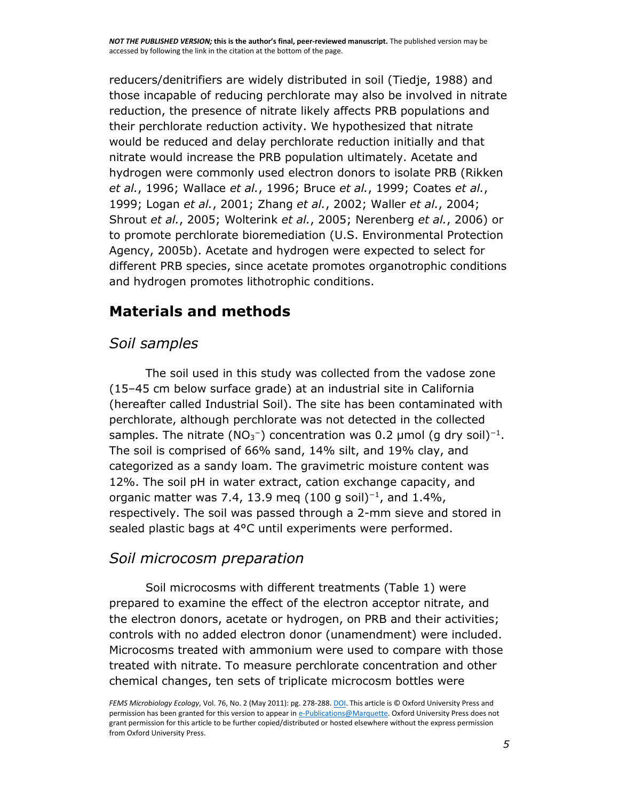reducers/denitrifiers are widely distributed in soil [\(Tiedje, 1988\)](http://www.ncbi.nlm.nih.gov/pmc/articles/PMC3086929/#R46) and those incapable of reducing perchlorate may also be involved in nitrate reduction, the presence of nitrate likely affects PRB populations and their perchlorate reduction activity. We hypothesized that nitrate would be reduced and delay perchlorate reduction initially and that nitrate would increase the PRB population ultimately. Acetate and hydrogen were commonly used electron donors to isolate PRB [\(Rikken](http://www.ncbi.nlm.nih.gov/pmc/articles/PMC3086929/#R35)  *et al.*[, 1996;](http://www.ncbi.nlm.nih.gov/pmc/articles/PMC3086929/#R35) [Wallace](http://www.ncbi.nlm.nih.gov/pmc/articles/PMC3086929/#R54) *et al.*, 1996; [Bruce](http://www.ncbi.nlm.nih.gov/pmc/articles/PMC3086929/#R3) *et al.*, 1999; [Coates](http://www.ncbi.nlm.nih.gov/pmc/articles/PMC3086929/#R9) *et al.*, [1999;](http://www.ncbi.nlm.nih.gov/pmc/articles/PMC3086929/#R9) [Logan](http://www.ncbi.nlm.nih.gov/pmc/articles/PMC3086929/#R21) *et al.*, 2001; [Zhang](http://www.ncbi.nlm.nih.gov/pmc/articles/PMC3086929/#R58) *et al.*, 2002; [Waller](http://www.ncbi.nlm.nih.gov/pmc/articles/PMC3086929/#R55) *et al.*, 2004; [Shrout](http://www.ncbi.nlm.nih.gov/pmc/articles/PMC3086929/#R40) *et al.*, 2005; [Wolterink](http://www.ncbi.nlm.nih.gov/pmc/articles/PMC3086929/#R56) *et al.*, 2005; [Nerenberg](http://www.ncbi.nlm.nih.gov/pmc/articles/PMC3086929/#R26) *et al.*, 2006) or to promote perchlorate bioremediation [\(U.S. Environmental Protection](http://www.ncbi.nlm.nih.gov/pmc/articles/PMC3086929/#R51)  [Agency, 2005b\)](http://www.ncbi.nlm.nih.gov/pmc/articles/PMC3086929/#R51). Acetate and hydrogen were expected to select for different PRB species, since acetate promotes organotrophic conditions and hydrogen promotes lithotrophic conditions.

## **Materials and methods**

### *Soil samples*

The soil used in this study was collected from the vadose zone (15–45 cm below surface grade) at an industrial site in California (hereafter called Industrial Soil). The site has been contaminated with perchlorate, although perchlorate was not detected in the collected samples. The nitrate (NO<sub>3</sub><sup>-</sup>) concentration was 0.2 µmol (g dry soil)<sup>-1</sup>. The soil is comprised of 66% sand, 14% silt, and 19% clay, and categorized as a sandy loam. The gravimetric moisture content was 12%. The soil pH in water extract, cation exchange capacity, and organic matter was 7.4, 13.9 meg (100 g soil)<sup>-1</sup>, and 1.4%, respectively. The soil was passed through a 2-mm sieve and stored in sealed plastic bags at 4°C until experiments were performed.

#### *Soil microcosm preparation*

Soil microcosms with different treatments [\(Table 1\)](http://www.ncbi.nlm.nih.gov/pmc/articles/PMC3086929/table/T1/) were prepared to examine the effect of the electron acceptor nitrate, and the electron donors, acetate or hydrogen, on PRB and their activities; controls with no added electron donor (unamendment) were included. Microcosms treated with ammonium were used to compare with those treated with nitrate. To measure perchlorate concentration and other chemical changes, ten sets of triplicate microcosm bottles were

*FEMS Microbiology Ecology*, Vol. 76, No. 2 (May 2011): pg. 278-288[. DOI.](http://dx.doi.org/10.1111/j.1574-6941.2011.01045.x) This article is © Oxford University Press and permission has been granted for this version to appear i[n e-Publications@Marquette.](http://epublications.marquette.edu/) Oxford University Press does not grant permission for this article to be further copied/distributed or hosted elsewhere without the express permission from Oxford University Press.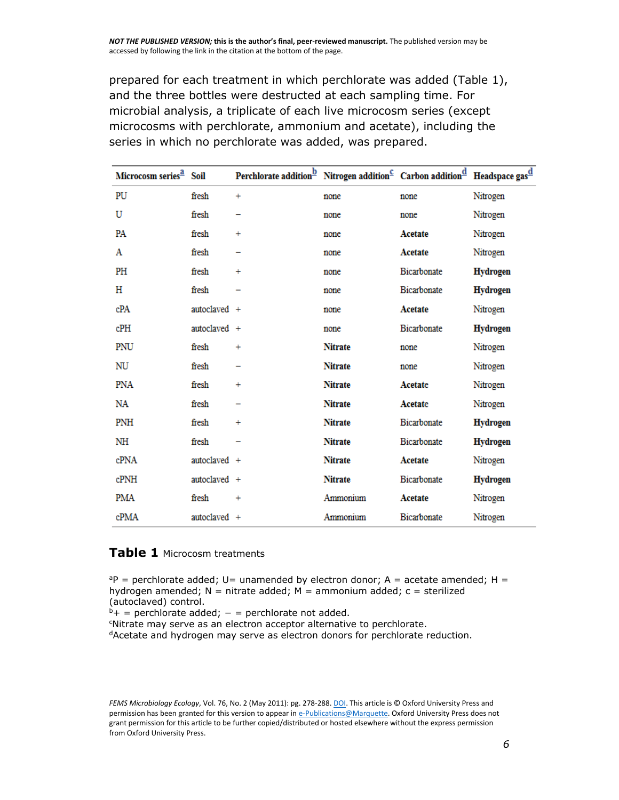prepared for each treatment in which perchlorate was added [\(Table 1\)](http://www.ncbi.nlm.nih.gov/pmc/articles/PMC3086929/table/T1/), and the three bottles were destructed at each sampling time. For microbial analysis, a triplicate of each live microcosm series (except microcosms with perchlorate, ammonium and acetate), including the series in which no perchlorate was added, was prepared.

| Microcosm series <sup>2</sup> Soil |                | Perchlorate addition <sup>b</sup> Nitrogen addition <sup>C</sup> Carbon addition <sup>d</sup> Headspace gas <sup>d</sup> |                |             |                 |
|------------------------------------|----------------|--------------------------------------------------------------------------------------------------------------------------|----------------|-------------|-----------------|
| PU                                 | fresh          | $\ddot{}$                                                                                                                | none           | none        | Nitrogen        |
| U                                  | fresh          |                                                                                                                          | none           | none        | Nitrogen        |
| PA                                 | fresh          | $\ddot{}$                                                                                                                | none           | Acetate     | Nitrogen        |
| Α                                  | fresh          |                                                                                                                          | none           | Acetate     | Nitrogen        |
| PH                                 | fresh          | $\ddot{}$                                                                                                                | none           | Bicarbonate | <b>Hydrogen</b> |
| Н                                  | fresh          |                                                                                                                          | none           | Bicarbonate | <b>Hydrogen</b> |
| cPA                                | autoclaved +   |                                                                                                                          | none           | Acetate     | Nitrogen        |
| cPH                                | autoclaved +   |                                                                                                                          | none           | Bicarbonate | <b>Hydrogen</b> |
| PNU                                | fresh          | $\ddot{}$                                                                                                                | <b>Nitrate</b> | none        | Nitrogen        |
| NU                                 | fresh          |                                                                                                                          | <b>Nitrate</b> | none        | Nitrogen        |
| <b>PNA</b>                         | fresh          | $\ddot{}$                                                                                                                | <b>Nitrate</b> | Acetate     | Nitrogen        |
| NA                                 | fresh          |                                                                                                                          | <b>Nitrate</b> | Acetate     | Nitrogen        |
| PNH                                | fresh          | $\ddot{}$                                                                                                                | <b>Nitrate</b> | Bicarbonate | <b>Hydrogen</b> |
| NH                                 | fresh          |                                                                                                                          | <b>Nitrate</b> | Bicarbonate | <b>Hydrogen</b> |
| cPNA                               | autoclaved +   |                                                                                                                          | <b>Nitrate</b> | Acetate     | Nitrogen        |
| $c$ PN $H$                         | $autoclaved +$ |                                                                                                                          | <b>Nitrate</b> | Bicarbonate | <b>Hydrogen</b> |
| <b>PMA</b>                         | fresh          | $\ddot{}$                                                                                                                | Ammonium       | Acetate     | Nitrogen        |
| cPMA                               | autoclaved +   |                                                                                                                          | Ammonium       | Bicarbonate | Nitrogen        |

#### **[Table 1](http://www.ncbi.nlm.nih.gov/pmc/articles/PMC3086929/table/T1/)** Microcosm treatments

 $aP$  = perchlorate added; U= unamended by electron donor; A = acetate amended; H = hydrogen amended;  $N =$  nitrate added;  $M =$  ammonium added;  $c =$  sterilized (autoclaved) control.

 $b$ + = perchlorate added; - = perchlorate not added.

<sup>c</sup>Nitrate may serve as an electron acceptor alternative to perchlorate.

<sup>d</sup>Acetate and hydrogen may serve as electron donors for perchlorate reduction.

*FEMS Microbiology Ecology*, Vol. 76, No. 2 (May 2011): pg. 278-288[. DOI.](http://dx.doi.org/10.1111/j.1574-6941.2011.01045.x) This article is © Oxford University Press and permission has been granted for this version to appear i[n e-Publications@Marquette.](http://epublications.marquette.edu/) Oxford University Press does not grant permission for this article to be further copied/distributed or hosted elsewhere without the express permission from Oxford University Press.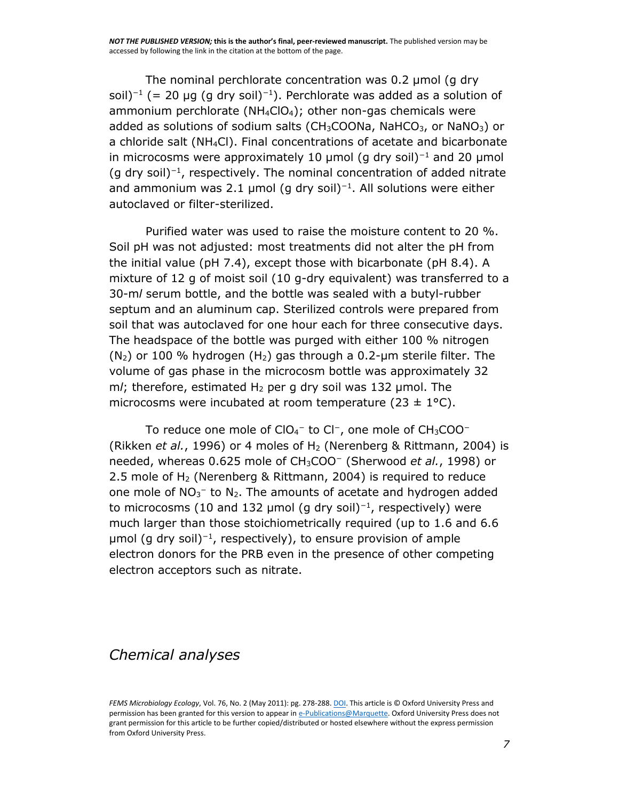The nominal perchlorate concentration was 0.2 μmol (g dry soil)<sup>-1</sup> (= 20 µg (g dry soil)<sup>-1</sup>). Perchlorate was added as a solution of ammonium perchlorate ( $NH_4ClO_4$ ); other non-gas chemicals were added as solutions of sodium salts (CH<sub>3</sub>COONa, NaHCO<sub>3</sub>, or NaNO<sub>3</sub>) or a chloride salt (NH4Cl). Final concentrations of acetate and bicarbonate in microcosms were approximately 10 µmol (g dry soil)<sup>-1</sup> and 20 µmol (g dry soil)<sup>−</sup><sup>1</sup> , respectively. The nominal concentration of added nitrate and ammonium was 2.1 µmol (g dry soil)<sup>-1</sup>. All solutions were either autoclaved or filter-sterilized.

Purified water was used to raise the moisture content to 20 %. Soil pH was not adjusted: most treatments did not alter the pH from the initial value (pH 7.4), except those with bicarbonate (pH 8.4). A mixture of 12 g of moist soil (10 g-dry equivalent) was transferred to a 30-m*l* serum bottle, and the bottle was sealed with a butyl-rubber septum and an aluminum cap. Sterilized controls were prepared from soil that was autoclaved for one hour each for three consecutive days. The headspace of the bottle was purged with either 100 % nitrogen  $(N_2)$  or 100 % hydrogen  $(H_2)$  gas through a 0.2-um sterile filter. The volume of gas phase in the microcosm bottle was approximately 32 m/; therefore, estimated H<sub>2</sub> per g dry soil was 132 μmol. The microcosms were incubated at room temperature (23  $\pm$  1°C).

To reduce one mole of ClO<sub>4</sub>− to Cl−, one mole of CH<sub>3</sub>COO− [\(Rikken](http://www.ncbi.nlm.nih.gov/pmc/articles/PMC3086929/#R35) *et al.*, 1996) or 4 moles of H<sub>2</sub> [\(Nerenberg & Rittmann, 2004\)](http://www.ncbi.nlm.nih.gov/pmc/articles/PMC3086929/#R25) is needed, whereas 0.625 mole of CH3COO<sup>−</sup> [\(Sherwood](http://www.ncbi.nlm.nih.gov/pmc/articles/PMC3086929/#R39) *et al.*, 1998) or 2.5 mole of  $H<sub>2</sub>$  [\(Nerenberg & Rittmann, 2004\)](http://www.ncbi.nlm.nih.gov/pmc/articles/PMC3086929/#R25) is required to reduce one mole of  $NO<sub>3</sub><sup>-</sup>$  to  $N<sub>2</sub>$ . The amounts of acetate and hydrogen added to microcosms (10 and 132 µmol (g dry soil)<sup>-1</sup>, respectively) were much larger than those stoichiometrically required (up to 1.6 and 6.6 μmol (g dry soil)<sup>−</sup><sup>1</sup> , respectively), to ensure provision of ample electron donors for the PRB even in the presence of other competing electron acceptors such as nitrate.

#### *Chemical analyses*

*FEMS Microbiology Ecology*, Vol. 76, No. 2 (May 2011): pg. 278-288[. DOI.](http://dx.doi.org/10.1111/j.1574-6941.2011.01045.x) This article is © Oxford University Press and permission has been granted for this version to appear i[n e-Publications@Marquette.](http://epublications.marquette.edu/) Oxford University Press does not grant permission for this article to be further copied/distributed or hosted elsewhere without the express permission from Oxford University Press.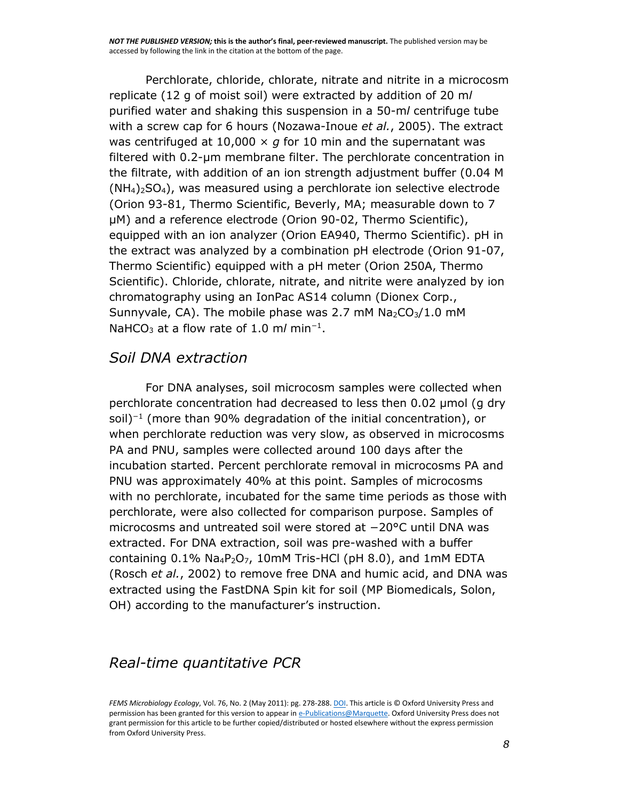Perchlorate, chloride, chlorate, nitrate and nitrite in a microcosm replicate (12 g of moist soil) were extracted by addition of 20 m*l* purified water and shaking this suspension in a 50-m*l* centrifuge tube with a screw cap for 6 hours [\(Nozawa-Inoue](http://www.ncbi.nlm.nih.gov/pmc/articles/PMC3086929/#R28) *et al.*, 2005). The extract was centrifuged at 10,000  $\times$  *g* for 10 min and the supernatant was filtered with 0.2-μm membrane filter. The perchlorate concentration in the filtrate, with addition of an ion strength adjustment buffer (0.04 M  $(NH<sub>4</sub>)<sub>2</sub>SO<sub>4</sub>$ , was measured using a perchlorate ion selective electrode (Orion 93-81, Thermo Scientific, Beverly, MA; measurable down to 7 μM) and a reference electrode (Orion 90-02, Thermo Scientific), equipped with an ion analyzer (Orion EA940, Thermo Scientific). pH in the extract was analyzed by a combination pH electrode (Orion 91-07, Thermo Scientific) equipped with a pH meter (Orion 250A, Thermo Scientific). Chloride, chlorate, nitrate, and nitrite were analyzed by ion chromatography using an IonPac AS14 column (Dionex Corp., Sunnyvale, CA). The mobile phase was 2.7 mM  $Na<sub>2</sub>CO<sub>3</sub>/1.0$  mM NaHCO<sub>3</sub> at a flow rate of 1.0 m/ min<sup>-1</sup>.

#### *Soil DNA extraction*

For DNA analyses, soil microcosm samples were collected when perchlorate concentration had decreased to less then 0.02 μmol (g dry soil)<sup>−</sup><sup>1</sup> (more than 90% degradation of the initial concentration), or when perchlorate reduction was very slow, as observed in microcosms PA and PNU, samples were collected around 100 days after the incubation started. Percent perchlorate removal in microcosms PA and PNU was approximately 40% at this point. Samples of microcosms with no perchlorate, incubated for the same time periods as those with perchlorate, were also collected for comparison purpose. Samples of microcosms and untreated soil were stored at −20°C until DNA was extracted. For DNA extraction, soil was pre-washed with a buffer containing  $0.1\%$  Na<sub>4</sub>P<sub>2</sub>O<sub>7</sub>, 10mM Tris-HCl (pH 8.0), and 1mM EDTA [\(Rosch](http://www.ncbi.nlm.nih.gov/pmc/articles/PMC3086929/#R36) *et al.*, 2002) to remove free DNA and humic acid, and DNA was extracted using the FastDNA Spin kit for soil (MP Biomedicals, Solon, OH) according to the manufacturer's instruction.

#### *Real-time quantitative PCR*

*FEMS Microbiology Ecology*, Vol. 76, No. 2 (May 2011): pg. 278-288[. DOI.](http://dx.doi.org/10.1111/j.1574-6941.2011.01045.x) This article is © Oxford University Press and permission has been granted for this version to appear i[n e-Publications@Marquette.](http://epublications.marquette.edu/) Oxford University Press does not grant permission for this article to be further copied/distributed or hosted elsewhere without the express permission from Oxford University Press.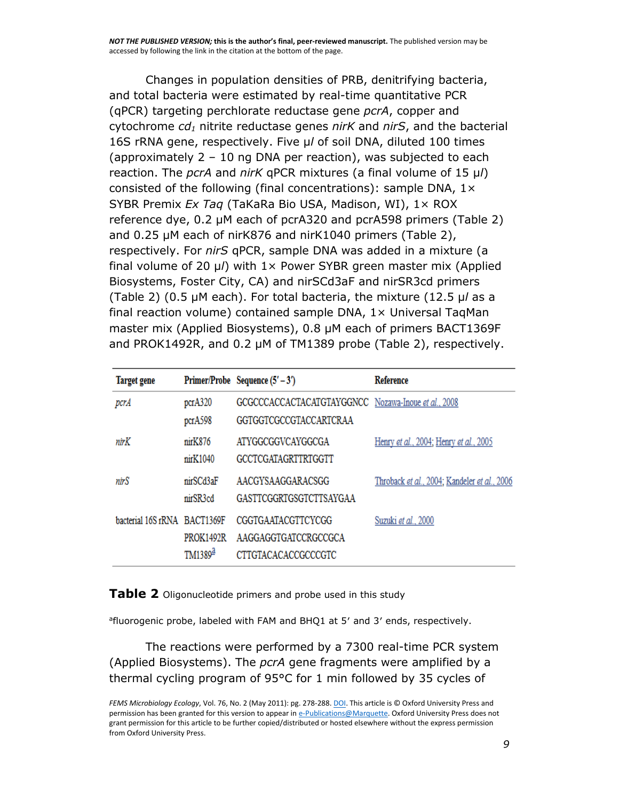Changes in population densities of PRB, denitrifying bacteria, and total bacteria were estimated by real-time quantitative PCR (qPCR) targeting perchlorate reductase gene *pcrA*, copper and cytochrome *cd<sup>1</sup>* nitrite reductase genes *nirK* and *nirS*, and the bacterial 16S rRNA gene, respectively. Five μ*l* of soil DNA, diluted 100 times (approximately 2 – 10 ng DNA per reaction), was subjected to each reaction. The *pcrA* and *nirK* qPCR mixtures (a final volume of 15 μ*l*) consisted of the following (final concentrations): sample DNA,  $1 \times$ SYBR Premix *Ex Taq* (TaKaRa Bio USA, Madison, WI), 1× ROX reference dye, 0.2 μM each of pcrA320 and pcrA598 primers [\(Table 2\)](http://www.ncbi.nlm.nih.gov/pmc/articles/PMC3086929/table/T2/) and 0.25 μM each of nirK876 and nirK1040 primers ([Table 2\)](http://www.ncbi.nlm.nih.gov/pmc/articles/PMC3086929/table/T2/), respectively. For *nirS* qPCR, sample DNA was added in a mixture (a final volume of 20 μ*l*) with 1× Power SYBR green master mix (Applied Biosystems, Foster City, CA) and nirSCd3aF and nirSR3cd primers [\(Table 2](http://www.ncbi.nlm.nih.gov/pmc/articles/PMC3086929/table/T2/)) (0.5 μM each). For total bacteria, the mixture (12.5 μ*l* as a final reaction volume) contained sample DNA, 1× Universal TaqMan master mix (Applied Biosystems), 0.8 μM each of primers BACT1369F and PROK1492R, and 0.2 μM of TM1389 probe ([Table 2\)](http://www.ncbi.nlm.nih.gov/pmc/articles/PMC3086929/table/T2/), respectively.

| <b>Target gene</b>           |                                         | Primer/Probe Sequence $(5' - 3')$                                                    | <b>Reference</b>                             |
|------------------------------|-----------------------------------------|--------------------------------------------------------------------------------------|----------------------------------------------|
| pcrA                         | pcrA320<br>pcrA598                      | GCGCCCACCACTACATGTAYGGNCC Nozawa-Inoue et al., 2008<br><b>GGTGGTCGCCGTACCARTCRAA</b> |                                              |
| nirK                         | nirK876<br>$n$ ir $K1040$               | ATYGGCGGVCAYGGCGA<br>GCCTCGATAGRTTRTGGTT                                             | Henry et al., 2004; Henry et al., 2005       |
| nirS                         | nirSCd3aF<br>nirSR3cd                   | AACGYSAAGGARACSGG<br><b>GASTTCGGRTGSGTCTTSAYGAA</b>                                  | Throback et al., 2004; Kandeler et al., 2006 |
| bacterial 16S rRNA BACT1369F | <b>PROK1492R</b><br>TM1389 <sup>ª</sup> | <b>CGGTGAATACGTTCYCGG</b><br>AAGGAGGTGATCCRGCCGCA<br>CTTGTACACACCGCCCGTC             | Suzuki et al., 2000                          |

[Table 2](http://www.ncbi.nlm.nih.gov/pmc/articles/PMC3086929/table/T2/) Oligonucleotide primers and probe used in this study

<sup>a</sup>fluorogenic probe, labeled with FAM and BHQ1 at 5' and 3' ends, respectively.

The reactions were performed by a 7300 real-time PCR system (Applied Biosystems). The *pcrA* gene fragments were amplified by a thermal cycling program of 95°C for 1 min followed by 35 cycles of

*FEMS Microbiology Ecology*, Vol. 76, No. 2 (May 2011): pg. 278-288[. DOI.](http://dx.doi.org/10.1111/j.1574-6941.2011.01045.x) This article is © Oxford University Press and permission has been granted for this version to appear i[n e-Publications@Marquette.](http://epublications.marquette.edu/) Oxford University Press does not grant permission for this article to be further copied/distributed or hosted elsewhere without the express permission from Oxford University Press.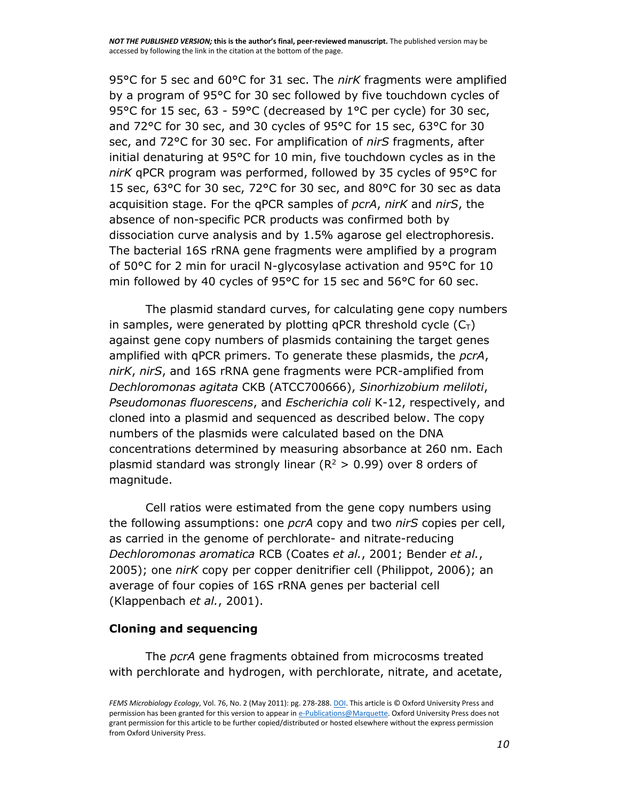95°C for 5 sec and 60°C for 31 sec. The *nirK* fragments were amplified by a program of 95°C for 30 sec followed by five touchdown cycles of 95°C for 15 sec, 63 - 59°C (decreased by 1°C per cycle) for 30 sec, and 72°C for 30 sec, and 30 cycles of 95°C for 15 sec, 63°C for 30 sec, and 72°C for 30 sec. For amplification of *nirS* fragments, after initial denaturing at 95°C for 10 min, five touchdown cycles as in the *nirK* qPCR program was performed, followed by 35 cycles of 95°C for 15 sec, 63°C for 30 sec, 72°C for 30 sec, and 80°C for 30 sec as data acquisition stage. For the qPCR samples of *pcrA*, *nirK* and *nirS*, the absence of non-specific PCR products was confirmed both by dissociation curve analysis and by 1.5% agarose gel electrophoresis. The bacterial 16S rRNA gene fragments were amplified by a program of 50°C for 2 min for uracil N-glycosylase activation and 95°C for 10 min followed by 40 cycles of 95°C for 15 sec and 56°C for 60 sec.

The plasmid standard curves, for calculating gene copy numbers in samples, were generated by plotting qPCR threshold cycle  $(C<sub>T</sub>)$ against gene copy numbers of plasmids containing the target genes amplified with qPCR primers. To generate these plasmids, the *pcrA*, *nirK*, *nirS*, and 16S rRNA gene fragments were PCR-amplified from *Dechloromonas agitata* CKB (ATCC700666), *Sinorhizobium meliloti*, *Pseudomonas fluorescens*, and *Escherichia coli* K-12, respectively, and cloned into a plasmid and sequenced as described below. The copy numbers of the plasmids were calculated based on the DNA concentrations determined by measuring absorbance at 260 nm. Each plasmid standard was strongly linear ( $R^2 > 0.99$ ) over 8 orders of magnitude.

Cell ratios were estimated from the gene copy numbers using the following assumptions: one *pcrA* copy and two *nirS* copies per cell, as carried in the genome of perchlorate- and nitrate-reducing *Dechloromonas aromatica* RCB [\(Coates](http://www.ncbi.nlm.nih.gov/pmc/articles/PMC3086929/#R10) *et al.*, 2001; [Bender](http://www.ncbi.nlm.nih.gov/pmc/articles/PMC3086929/#R2) *et al.*, [2005\)](http://www.ncbi.nlm.nih.gov/pmc/articles/PMC3086929/#R2); one *nirK* copy per copper denitrifier cell [\(Philippot, 2006\)](http://www.ncbi.nlm.nih.gov/pmc/articles/PMC3086929/#R33); an average of four copies of 16S rRNA genes per bacterial cell [\(Klappenbach](http://www.ncbi.nlm.nih.gov/pmc/articles/PMC3086929/#R20) *et al.*, 2001).

#### **Cloning and sequencing**

The *pcrA* gene fragments obtained from microcosms treated with perchlorate and hydrogen, with perchlorate, nitrate, and acetate,

*FEMS Microbiology Ecology*, Vol. 76, No. 2 (May 2011): pg. 278-288[. DOI.](http://dx.doi.org/10.1111/j.1574-6941.2011.01045.x) This article is © Oxford University Press and permission has been granted for this version to appear i[n e-Publications@Marquette.](http://epublications.marquette.edu/) Oxford University Press does not grant permission for this article to be further copied/distributed or hosted elsewhere without the express permission from Oxford University Press.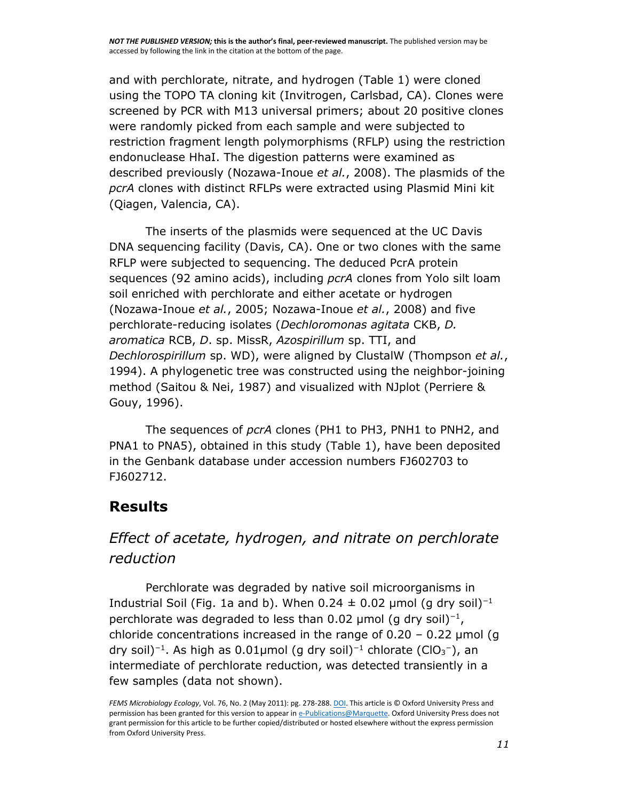*NOT THE PUBLISHED VERSION;* **this is the author's final, peer-reviewed manuscript.** The published version may be accessed by following the link in the citation at the bottom of the page.

and with perchlorate, nitrate, and hydrogen [\(Table 1\)](http://www.ncbi.nlm.nih.gov/pmc/articles/PMC3086929/table/T1/) were cloned using the TOPO TA cloning kit (Invitrogen, Carlsbad, CA). Clones were screened by PCR with M13 universal primers; about 20 positive clones were randomly picked from each sample and were subjected to restriction fragment length polymorphisms (RFLP) using the restriction endonuclease HhaI. The digestion patterns were examined as described previously [\(Nozawa-Inoue](http://www.ncbi.nlm.nih.gov/pmc/articles/PMC3086929/#R29) *et al.*, 2008). The plasmids of the *pcrA* clones with distinct RFLPs were extracted using Plasmid Mini kit (Qiagen, Valencia, CA).

The inserts of the plasmids were sequenced at the UC Davis DNA sequencing facility (Davis, CA). One or two clones with the same RFLP were subjected to sequencing. The deduced PcrA protein sequences (92 amino acids), including *pcrA* clones from Yolo silt loam soil enriched with perchlorate and either acetate or hydrogen [\(Nozawa-Inoue](http://www.ncbi.nlm.nih.gov/pmc/articles/PMC3086929/#R28) *et al.*, 2005; [Nozawa-Inoue](http://www.ncbi.nlm.nih.gov/pmc/articles/PMC3086929/#R29) *et al.*, 2008) and five perchlorate-reducing isolates (*Dechloromonas agitata* CKB, *D. aromatica* RCB, *D*. sp. MissR, *Azospirillum* sp. TTI, and *Dechlorospirillum* sp. WD), were aligned by ClustalW [\(Thompson](http://www.ncbi.nlm.nih.gov/pmc/articles/PMC3086929/#R44) *et al.*, [1994\)](http://www.ncbi.nlm.nih.gov/pmc/articles/PMC3086929/#R44). A phylogenetic tree was constructed using the neighbor-joining method [\(Saitou & Nei, 1987\)](http://www.ncbi.nlm.nih.gov/pmc/articles/PMC3086929/#R37) and visualized with NJplot [\(Perriere &](http://www.ncbi.nlm.nih.gov/pmc/articles/PMC3086929/#R30)  [Gouy, 1996\)](http://www.ncbi.nlm.nih.gov/pmc/articles/PMC3086929/#R30).

The sequences of *pcrA* clones (PH1 to PH3, PNH1 to PNH2, and PNA1 to PNA5), obtained in this study [\(Table 1\)](http://www.ncbi.nlm.nih.gov/pmc/articles/PMC3086929/table/T1/), have been deposited in the Genbank database under accession numbers [FJ602703 to](http://www.ncbi.nlm.nih.gov/nuccore/?term=FJ602703:FJ602712%5bpacc%5d)  [FJ602712.](http://www.ncbi.nlm.nih.gov/nuccore/?term=FJ602703:FJ602712%5bpacc%5d)

#### **Results**

### *Effect of acetate, hydrogen, and nitrate on perchlorate reduction*

Perchlorate was degraded by native soil microorganisms in Industrial Soil [\(Fig. 1a and b](http://www.ncbi.nlm.nih.gov/pmc/articles/PMC3086929/figure/F1/)). When  $0.24 \pm 0.02$  µmol (g dry soil)<sup>-1</sup> perchlorate was degraded to less than 0.02 µmol (g dry soil)<sup>-1</sup>, chloride concentrations increased in the range of  $0.20 - 0.22$  µmol (g dry soil)<sup>−1</sup>. As high as 0.01µmol (g dry soil)<sup>−1</sup> chlorate (ClO<sub>3</sub><sup>−</sup>), an intermediate of perchlorate reduction, was detected transiently in a few samples (data not shown).

*FEMS Microbiology Ecology*, Vol. 76, No. 2 (May 2011): pg. 278-288[. DOI.](http://dx.doi.org/10.1111/j.1574-6941.2011.01045.x) This article is © Oxford University Press and permission has been granted for this version to appear i[n e-Publications@Marquette.](http://epublications.marquette.edu/) Oxford University Press does not grant permission for this article to be further copied/distributed or hosted elsewhere without the express permission from Oxford University Press.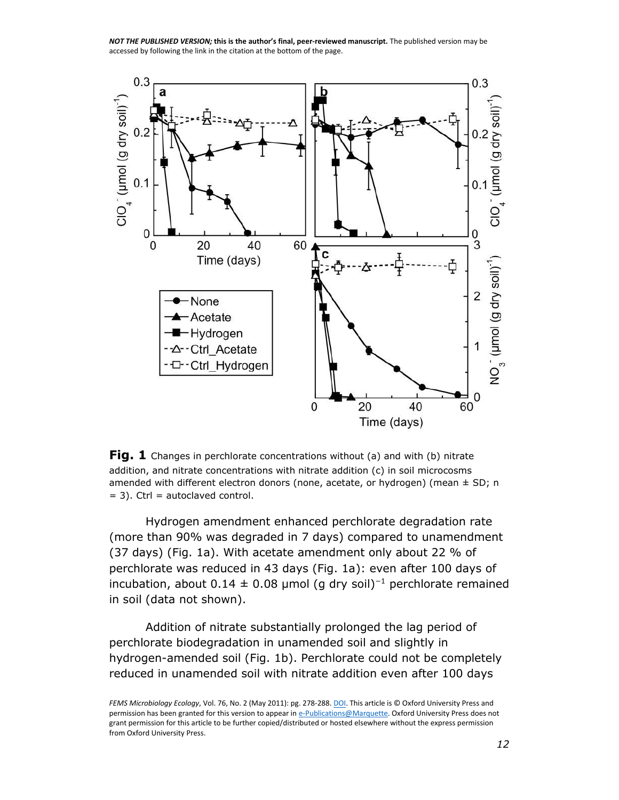*NOT THE PUBLISHED VERSION;* **this is the author's final, peer-reviewed manuscript.** The published version may be accessed by following the link in the citation at the bottom of the page.



**[Fig. 1](http://www.ncbi.nlm.nih.gov/pmc/articles/PMC3086929/figure/F1/)** Changes in perchlorate concentrations without (a) and with (b) nitrate addition, and nitrate concentrations with nitrate addition (c) in soil microcosms amended with different electron donors (none, acetate, or hydrogen) (mean  $\pm$  SD; n  $= 3$ ). Ctrl = autoclaved control.

Hydrogen amendment enhanced perchlorate degradation rate (more than 90% was degraded in 7 days) compared to unamendment (37 days) [\(Fig. 1a\)](http://www.ncbi.nlm.nih.gov/pmc/articles/PMC3086929/figure/F1/). With acetate amendment only about 22 % of perchlorate was reduced in 43 days [\(Fig. 1a\)](http://www.ncbi.nlm.nih.gov/pmc/articles/PMC3086929/figure/F1/): even after 100 days of incubation, about 0.14  $\pm$  0.08 µmol (g dry soil)<sup>-1</sup> perchlorate remained in soil (data not shown).

Addition of nitrate substantially prolonged the lag period of perchlorate biodegradation in unamended soil and slightly in hydrogen-amended soil [\(Fig. 1b\)](http://www.ncbi.nlm.nih.gov/pmc/articles/PMC3086929/figure/F1/). Perchlorate could not be completely reduced in unamended soil with nitrate addition even after 100 days

*FEMS Microbiology Ecology*, Vol. 76, No. 2 (May 2011): pg. 278-288[. DOI.](http://dx.doi.org/10.1111/j.1574-6941.2011.01045.x) This article is © Oxford University Press and permission has been granted for this version to appear i[n e-Publications@Marquette.](http://epublications.marquette.edu/) Oxford University Press does not grant permission for this article to be further copied/distributed or hosted elsewhere without the express permission from Oxford University Press.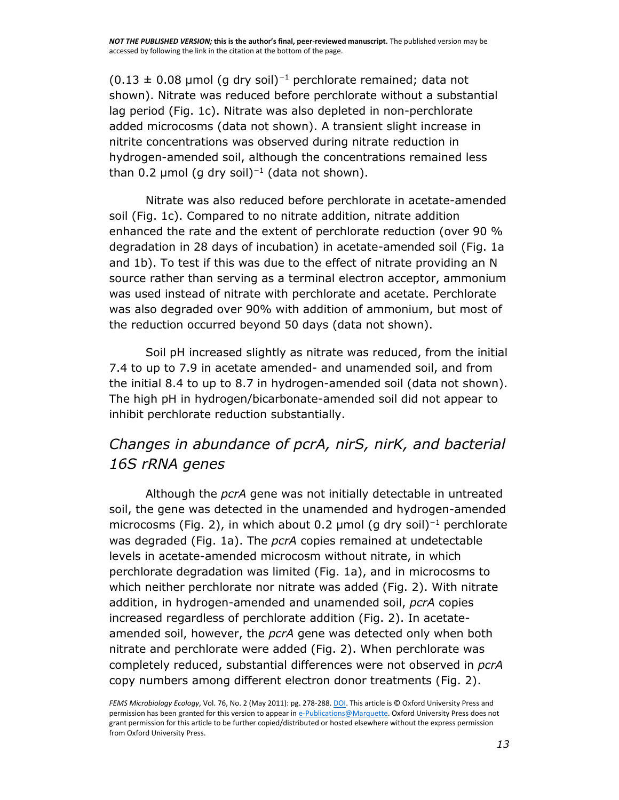$(0.13 \pm 0.08 \mu \text{mol}$  (g dry soil)<sup>-1</sup> perchlorate remained; data not shown). Nitrate was reduced before perchlorate without a substantial lag period [\(Fig. 1c\)](http://www.ncbi.nlm.nih.gov/pmc/articles/PMC3086929/figure/F1/). Nitrate was also depleted in non-perchlorate added microcosms (data not shown). A transient slight increase in nitrite concentrations was observed during nitrate reduction in hydrogen-amended soil, although the concentrations remained less than 0.2 µmol (g dry soil)<sup>-1</sup> (data not shown).

Nitrate was also reduced before perchlorate in acetate-amended soil [\(Fig. 1c\)](http://www.ncbi.nlm.nih.gov/pmc/articles/PMC3086929/figure/F1/). Compared to no nitrate addition, nitrate addition enhanced the rate and the extent of perchlorate reduction (over 90 % degradation in 28 days of incubation) in acetate-amended soil [\(Fig. 1a](http://www.ncbi.nlm.nih.gov/pmc/articles/PMC3086929/figure/F1/)  [and 1b\)](http://www.ncbi.nlm.nih.gov/pmc/articles/PMC3086929/figure/F1/). To test if this was due to the effect of nitrate providing an N source rather than serving as a terminal electron acceptor, ammonium was used instead of nitrate with perchlorate and acetate. Perchlorate was also degraded over 90% with addition of ammonium, but most of the reduction occurred beyond 50 days (data not shown).

Soil pH increased slightly as nitrate was reduced, from the initial 7.4 to up to 7.9 in acetate amended- and unamended soil, and from the initial 8.4 to up to 8.7 in hydrogen-amended soil (data not shown). The high pH in hydrogen/bicarbonate-amended soil did not appear to inhibit perchlorate reduction substantially.

## *Changes in abundance of pcrA, nirS, nirK, and bacterial 16S rRNA genes*

Although the *pcrA* gene was not initially detectable in untreated soil, the gene was detected in the unamended and hydrogen-amended microcosms [\(Fig. 2](http://www.ncbi.nlm.nih.gov/pmc/articles/PMC3086929/figure/F2/)), in which about 0.2 µmol (g dry soil)<sup>-1</sup> perchlorate was degraded [\(Fig. 1a\)](http://www.ncbi.nlm.nih.gov/pmc/articles/PMC3086929/figure/F1/). The *pcrA* copies remained at undetectable levels in acetate-amended microcosm without nitrate, in which perchlorate degradation was limited [\(Fig. 1a\)](http://www.ncbi.nlm.nih.gov/pmc/articles/PMC3086929/figure/F1/), and in microcosms to which neither perchlorate nor nitrate was added [\(Fig. 2\)](http://www.ncbi.nlm.nih.gov/pmc/articles/PMC3086929/figure/F2/). With nitrate addition, in hydrogen-amended and unamended soil, *pcrA* copies increased regardless of perchlorate addition [\(Fig. 2\)](http://www.ncbi.nlm.nih.gov/pmc/articles/PMC3086929/figure/F2/). In acetateamended soil, however, the *pcrA* gene was detected only when both nitrate and perchlorate were added [\(Fig. 2\)](http://www.ncbi.nlm.nih.gov/pmc/articles/PMC3086929/figure/F2/). When perchlorate was completely reduced, substantial differences were not observed in *pcrA* copy numbers among different electron donor treatments [\(Fig.](http://www.ncbi.nlm.nih.gov/pmc/articles/PMC3086929/figure/F2/) 2).

*FEMS Microbiology Ecology*, Vol. 76, No. 2 (May 2011): pg. 278-288[. DOI.](http://dx.doi.org/10.1111/j.1574-6941.2011.01045.x) This article is © Oxford University Press and permission has been granted for this version to appear i[n e-Publications@Marquette.](http://epublications.marquette.edu/) Oxford University Press does not grant permission for this article to be further copied/distributed or hosted elsewhere without the express permission from Oxford University Press.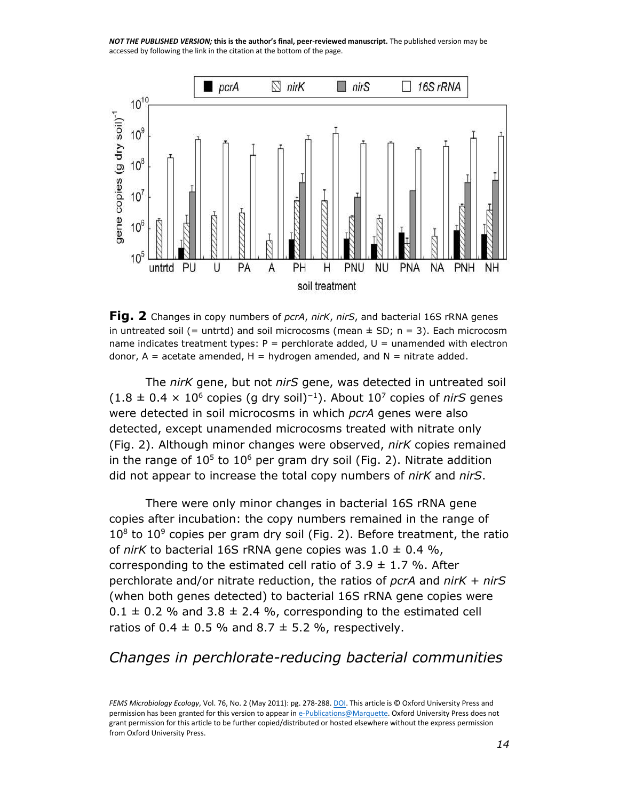*NOT THE PUBLISHED VERSION;* **this is the author's final, peer-reviewed manuscript.** The published version may be accessed by following the link in the citation at the bottom of the page.



**[Fig. 2](http://www.ncbi.nlm.nih.gov/pmc/articles/PMC3086929/figure/F2/)** Changes in copy numbers of *pcrA*, *nirK*, *nirS*, and bacterial 16S rRNA genes in untreated soil (= untrtd) and soil microcosms (mean  $\pm$  SD; n = 3). Each microcosm name indicates treatment types:  $P =$  perchlorate added,  $U =$  unamended with electron donor,  $A =$  acetate amended,  $H =$  hydrogen amended, and  $N =$  nitrate added.

The *nirK* gene, but not *nirS* gene, was detected in untreated soil (1.8 ± 0.4 × 10<sup>6</sup> copies (g dry soil)<sup>−</sup><sup>1</sup> ). About 10<sup>7</sup> copies of *nirS* genes were detected in soil microcosms in which *pcrA* genes were also detected, except unamended microcosms treated with nitrate only [\(Fig. 2\)](http://www.ncbi.nlm.nih.gov/pmc/articles/PMC3086929/figure/F2/). Although minor changes were observed, *nirK* copies remained in the range of  $10^5$  to  $10^6$  per gram dry soil [\(Fig. 2\)](http://www.ncbi.nlm.nih.gov/pmc/articles/PMC3086929/figure/F2/). Nitrate addition did not appear to increase the total copy numbers of *nirK* and *nirS*.

There were only minor changes in bacterial 16S rRNA gene copies after incubation: the copy numbers remained in the range of  $10<sup>8</sup>$  to  $10<sup>9</sup>$  copies per gram dry soil [\(Fig. 2\)](http://www.ncbi.nlm.nih.gov/pmc/articles/PMC3086929/figure/F2/). Before treatment, the ratio of *nirK* to bacterial 16S rRNA gene copies was  $1.0 \pm 0.4$  %, corresponding to the estimated cell ratio of 3.9  $\pm$  1.7 %. After perchlorate and/or nitrate reduction, the ratios of *pcrA* and *nirK* + *nirS* (when both genes detected) to bacterial 16S rRNA gene copies were  $0.1 \pm 0.2$  % and 3.8  $\pm$  2.4 %, corresponding to the estimated cell ratios of  $0.4 \pm 0.5$  % and  $8.7 \pm 5.2$  %, respectively.

#### *Changes in perchlorate-reducing bacterial communities*

*FEMS Microbiology Ecology*, Vol. 76, No. 2 (May 2011): pg. 278-288[. DOI.](http://dx.doi.org/10.1111/j.1574-6941.2011.01045.x) This article is © Oxford University Press and permission has been granted for this version to appear i[n e-Publications@Marquette.](http://epublications.marquette.edu/) Oxford University Press does not grant permission for this article to be further copied/distributed or hosted elsewhere without the express permission from Oxford University Press.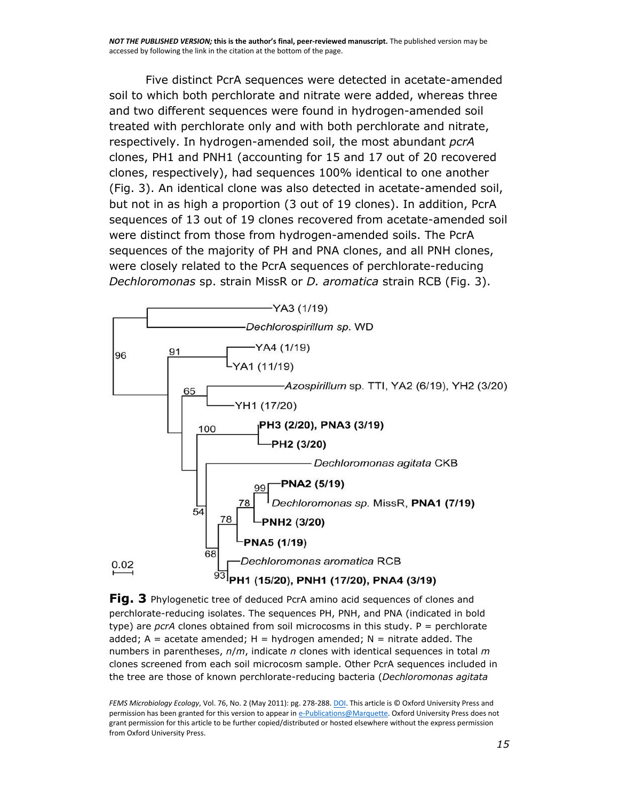Five distinct PcrA sequences were detected in acetate-amended soil to which both perchlorate and nitrate were added, whereas three and two different sequences were found in hydrogen-amended soil treated with perchlorate only and with both perchlorate and nitrate, respectively. In hydrogen-amended soil, the most abundant *pcrA* clones, PH1 and PNH1 (accounting for 15 and 17 out of 20 recovered clones, respectively), had sequences 100% identical to one another [\(Fig. 3\)](http://www.ncbi.nlm.nih.gov/pmc/articles/PMC3086929/figure/F3/). An identical clone was also detected in acetate-amended soil, but not in as high a proportion (3 out of 19 clones). In addition, PcrA sequences of 13 out of 19 clones recovered from acetate-amended soil were distinct from those from hydrogen-amended soils. The PcrA sequences of the majority of PH and PNA clones, and all PNH clones, were closely related to the PcrA sequences of perchlorate-reducing *Dechloromonas* sp. strain MissR or *D. aromatica* strain RCB [\(Fig. 3\)](http://www.ncbi.nlm.nih.gov/pmc/articles/PMC3086929/figure/F3/).



**[Fig. 3](http://www.ncbi.nlm.nih.gov/pmc/articles/PMC3086929/figure/F3/)** Phylogenetic tree of deduced PcrA amino acid sequences of clones and perchlorate-reducing isolates. The sequences PH, PNH, and PNA (indicated in bold type) are *pcrA* clones obtained from soil microcosms in this study. P = perchlorate added;  $A =$  acetate amended;  $H =$  hydrogen amended;  $N =$  nitrate added. The numbers in parentheses, *n*/*m*, indicate *n* clones with identical sequences in total *m* clones screened from each soil microcosm sample. Other PcrA sequences included in the tree are those of known perchlorate-reducing bacteria (*Dechloromonas agitata*

*FEMS Microbiology Ecology*, Vol. 76, No. 2 (May 2011): pg. 278-288[. DOI.](http://dx.doi.org/10.1111/j.1574-6941.2011.01045.x) This article is © Oxford University Press and permission has been granted for this version to appear i[n e-Publications@Marquette.](http://epublications.marquette.edu/) Oxford University Press does not grant permission for this article to be further copied/distributed or hosted elsewhere without the express permission from Oxford University Press.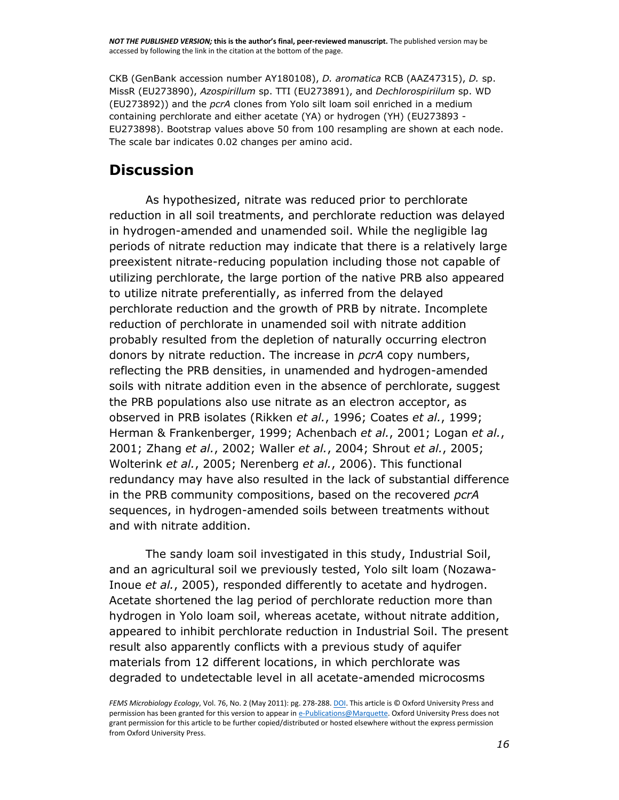*NOT THE PUBLISHED VERSION;* **this is the author's final, peer-reviewed manuscript.** The published version may be accessed by following the link in the citation at the bottom of the page.

CKB (GenBank accession number [AY180108\)](http://www.ncbi.nlm.nih.gov/nuccore/AY180108), *D. aromatica* RCB [\(AAZ47315\)](http://www.ncbi.nlm.nih.gov/protein/AAZ47315), *D.* sp. MissR [\(EU273890\)](http://www.ncbi.nlm.nih.gov/nuccore/EU273890), *Azospirillum* sp. TTI [\(EU273891\)](http://www.ncbi.nlm.nih.gov/nuccore/EU273891), and *Dechlorospiriilum* sp. WD [\(EU273892\)](http://www.ncbi.nlm.nih.gov/nuccore/EU273892)) and the *pcrA* clones from Yolo silt loam soil enriched in a medium containing perchlorate and either acetate (YA) or hydrogen (YH) [\(EU273893 -](http://www.ncbi.nlm.nih.gov/nuccore/?term=EU273893:EU273898%5bpacc%5d) [EU273898\)](http://www.ncbi.nlm.nih.gov/nuccore/?term=EU273893:EU273898%5bpacc%5d). Bootstrap values above 50 from 100 resampling are shown at each node. The scale bar indicates 0.02 changes per amino acid.

#### **Discussion**

As hypothesized, nitrate was reduced prior to perchlorate reduction in all soil treatments, and perchlorate reduction was delayed in hydrogen-amended and unamended soil. While the negligible lag periods of nitrate reduction may indicate that there is a relatively large preexistent nitrate-reducing population including those not capable of utilizing perchlorate, the large portion of the native PRB also appeared to utilize nitrate preferentially, as inferred from the delayed perchlorate reduction and the growth of PRB by nitrate. Incomplete reduction of perchlorate in unamended soil with nitrate addition probably resulted from the depletion of naturally occurring electron donors by nitrate reduction. The increase in *pcrA* copy numbers, reflecting the PRB densities, in unamended and hydrogen-amended soils with nitrate addition even in the absence of perchlorate, suggest the PRB populations also use nitrate as an electron acceptor, as observed in PRB isolates [\(Rikken](http://www.ncbi.nlm.nih.gov/pmc/articles/PMC3086929/#R35) *et al.*, 1996; [Coates](http://www.ncbi.nlm.nih.gov/pmc/articles/PMC3086929/#R9) *et al.*, 1999; [Herman & Frankenberger, 1999;](http://www.ncbi.nlm.nih.gov/pmc/articles/PMC3086929/#R16) [Achenbach](http://www.ncbi.nlm.nih.gov/pmc/articles/PMC3086929/#R1) *et al.*, 2001; [Logan](http://www.ncbi.nlm.nih.gov/pmc/articles/PMC3086929/#R21) *et al.*, [2001;](http://www.ncbi.nlm.nih.gov/pmc/articles/PMC3086929/#R21) [Zhang](http://www.ncbi.nlm.nih.gov/pmc/articles/PMC3086929/#R58) *et al.*, 2002; [Waller](http://www.ncbi.nlm.nih.gov/pmc/articles/PMC3086929/#R55) *et al.*, 2004; [Shrout](http://www.ncbi.nlm.nih.gov/pmc/articles/PMC3086929/#R40) *et al.*, 2005; [Wolterink](http://www.ncbi.nlm.nih.gov/pmc/articles/PMC3086929/#R56) *et al.*, 2005; [Nerenberg](http://www.ncbi.nlm.nih.gov/pmc/articles/PMC3086929/#R26) *et al.*, 2006). This functional redundancy may have also resulted in the lack of substantial difference in the PRB community compositions, based on the recovered *pcrA* sequences, in hydrogen-amended soils between treatments without and with nitrate addition.

The sandy loam soil investigated in this study, Industrial Soil, and an agricultural soil we previously tested, Yolo silt loam [\(Nozawa-](http://www.ncbi.nlm.nih.gov/pmc/articles/PMC3086929/#R28)Inoue *et al.*[, 2005\)](http://www.ncbi.nlm.nih.gov/pmc/articles/PMC3086929/#R28), responded differently to acetate and hydrogen. Acetate shortened the lag period of perchlorate reduction more than hydrogen in Yolo loam soil, whereas acetate, without nitrate addition, appeared to inhibit perchlorate reduction in Industrial Soil. The present result also apparently conflicts with a previous study of aquifer materials from 12 different locations, in which perchlorate was degraded to undetectable level in all acetate-amended microcosms

*FEMS Microbiology Ecology*, Vol. 76, No. 2 (May 2011): pg. 278-288[. DOI.](http://dx.doi.org/10.1111/j.1574-6941.2011.01045.x) This article is © Oxford University Press and permission has been granted for this version to appear i[n e-Publications@Marquette.](http://epublications.marquette.edu/) Oxford University Press does not grant permission for this article to be further copied/distributed or hosted elsewhere without the express permission from Oxford University Press.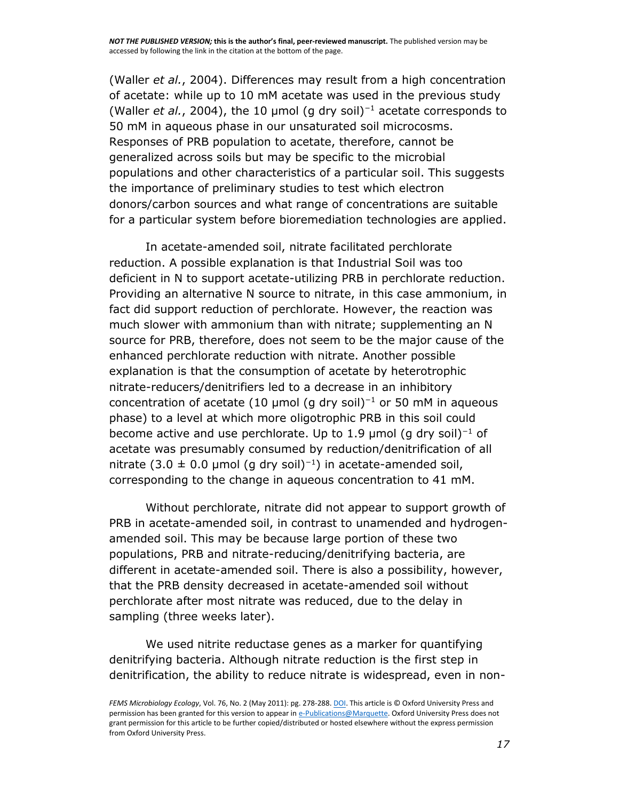[\(Waller](http://www.ncbi.nlm.nih.gov/pmc/articles/PMC3086929/#R55) *et al.*, 2004). Differences may result from a high concentration of acetate: while up to 10 mM acetate was used in the previous study [\(Waller](http://www.ncbi.nlm.nih.gov/pmc/articles/PMC3086929/#R55) *et al.*, 2004), the 10 μmol (g dry soil)<sup>−</sup><sup>1</sup> acetate corresponds to 50 mM in aqueous phase in our unsaturated soil microcosms. Responses of PRB population to acetate, therefore, cannot be generalized across soils but may be specific to the microbial populations and other characteristics of a particular soil. This suggests the importance of preliminary studies to test which electron donors/carbon sources and what range of concentrations are suitable for a particular system before bioremediation technologies are applied.

In acetate-amended soil, nitrate facilitated perchlorate reduction. A possible explanation is that Industrial Soil was too deficient in N to support acetate-utilizing PRB in perchlorate reduction. Providing an alternative N source to nitrate, in this case ammonium, in fact did support reduction of perchlorate. However, the reaction was much slower with ammonium than with nitrate; supplementing an N source for PRB, therefore, does not seem to be the major cause of the enhanced perchlorate reduction with nitrate. Another possible explanation is that the consumption of acetate by heterotrophic nitrate-reducers/denitrifiers led to a decrease in an inhibitory concentration of acetate (10 µmol (g dry soil)<sup>-1</sup> or 50 mM in aqueous phase) to a level at which more oligotrophic PRB in this soil could become active and use perchlorate. Up to 1.9 µmol (g dry soil)<sup>-1</sup> of acetate was presumably consumed by reduction/denitrification of all nitrate (3.0  $\pm$  0.0 µmol (g dry soil)<sup>-1</sup>) in acetate-amended soil, corresponding to the change in aqueous concentration to 41 mM.

Without perchlorate, nitrate did not appear to support growth of PRB in acetate-amended soil, in contrast to unamended and hydrogenamended soil. This may be because large portion of these two populations, PRB and nitrate-reducing/denitrifying bacteria, are different in acetate-amended soil. There is also a possibility, however, that the PRB density decreased in acetate-amended soil without perchlorate after most nitrate was reduced, due to the delay in sampling (three weeks later).

We used nitrite reductase genes as a marker for quantifying denitrifying bacteria. Although nitrate reduction is the first step in denitrification, the ability to reduce nitrate is widespread, even in non-

*FEMS Microbiology Ecology*, Vol. 76, No. 2 (May 2011): pg. 278-288[. DOI.](http://dx.doi.org/10.1111/j.1574-6941.2011.01045.x) This article is © Oxford University Press and permission has been granted for this version to appear i[n e-Publications@Marquette.](http://epublications.marquette.edu/) Oxford University Press does not grant permission for this article to be further copied/distributed or hosted elsewhere without the express permission from Oxford University Press.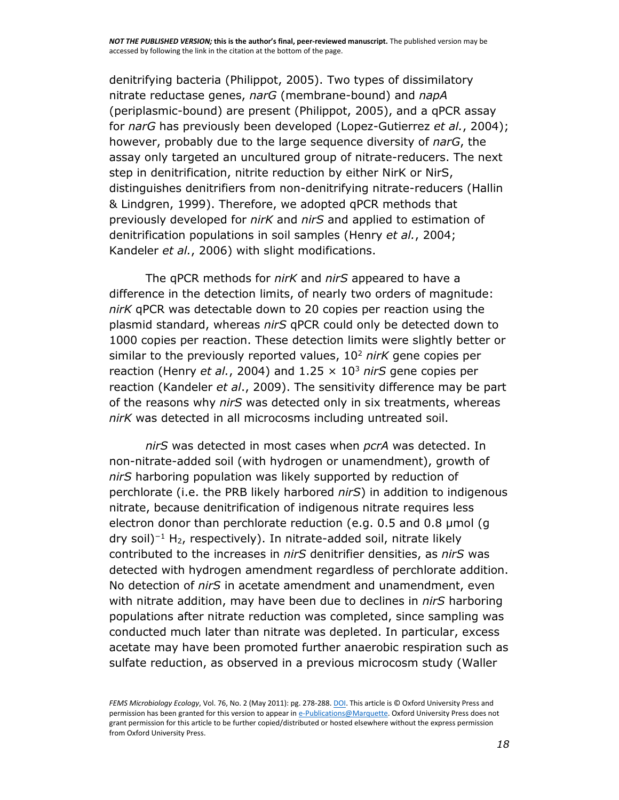denitrifying bacteria [\(Philippot, 2005\)](http://www.ncbi.nlm.nih.gov/pmc/articles/PMC3086929/#R32). Two types of dissimilatory nitrate reductase genes, *narG* (membrane-bound) and *napA* (periplasmic-bound) are present [\(Philippot, 2005\)](http://www.ncbi.nlm.nih.gov/pmc/articles/PMC3086929/#R32), and a qPCR assay for *narG* has previously been developed [\(Lopez-Gutierrez](http://www.ncbi.nlm.nih.gov/pmc/articles/PMC3086929/#R22) *et al.*, 2004); however, probably due to the large sequence diversity of *narG*, the assay only targeted an uncultured group of nitrate-reducers. The next step in denitrification, nitrite reduction by either NirK or NirS, distinguishes denitrifiers from non-denitrifying nitrate-reducers [\(Hallin](http://www.ncbi.nlm.nih.gov/pmc/articles/PMC3086929/#R13)  [& Lindgren, 1999\)](http://www.ncbi.nlm.nih.gov/pmc/articles/PMC3086929/#R13). Therefore, we adopted qPCR methods that previously developed for *nirK* and *nirS* and applied to estimation of denitrification populations in soil samples [\(Henry](http://www.ncbi.nlm.nih.gov/pmc/articles/PMC3086929/#R14) *et al.*, 2004; [Kandeler](http://www.ncbi.nlm.nih.gov/pmc/articles/PMC3086929/#R17) *et al.*, 2006) with slight modifications.

The qPCR methods for *nirK* and *nirS* appeared to have a difference in the detection limits, of nearly two orders of magnitude: *nirK* qPCR was detectable down to 20 copies per reaction using the plasmid standard, whereas *nirS* qPCR could only be detected down to 1000 copies per reaction. These detection limits were slightly better or similar to the previously reported values, 10<sup>2</sup> *nirK* gene copies per reaction [\(Henry](http://www.ncbi.nlm.nih.gov/pmc/articles/PMC3086929/#R14) *et al.*, 2004) and 1.25 × 10<sup>3</sup> *nirS* gene copies per reaction [\(Kandeler](http://www.ncbi.nlm.nih.gov/pmc/articles/PMC3086929/#R18) *et al*., 2009). The sensitivity difference may be part of the reasons why *nirS* was detected only in six treatments, whereas *nirK* was detected in all microcosms including untreated soil.

*nirS* was detected in most cases when *pcrA* was detected. In non-nitrate-added soil (with hydrogen or unamendment), growth of *nirS* harboring population was likely supported by reduction of perchlorate (i.e. the PRB likely harbored *nirS*) in addition to indigenous nitrate, because denitrification of indigenous nitrate requires less electron donor than perchlorate reduction (e.g. 0.5 and 0.8 μmol (g dry soil)<sup>−</sup><sup>1</sup> H2, respectively). In nitrate-added soil, nitrate likely contributed to the increases in *nirS* denitrifier densities, as *nirS* was detected with hydrogen amendment regardless of perchlorate addition. No detection of *nirS* in acetate amendment and unamendment, even with nitrate addition, may have been due to declines in *nirS* harboring populations after nitrate reduction was completed, since sampling was conducted much later than nitrate was depleted. In particular, excess acetate may have been promoted further anaerobic respiration such as sulfate reduction, as observed in a previous microcosm study [\(Waller](http://www.ncbi.nlm.nih.gov/pmc/articles/PMC3086929/#R55) 

*FEMS Microbiology Ecology*, Vol. 76, No. 2 (May 2011): pg. 278-288[. DOI.](http://dx.doi.org/10.1111/j.1574-6941.2011.01045.x) This article is © Oxford University Press and permission has been granted for this version to appear i[n e-Publications@Marquette.](http://epublications.marquette.edu/) Oxford University Press does not grant permission for this article to be further copied/distributed or hosted elsewhere without the express permission from Oxford University Press.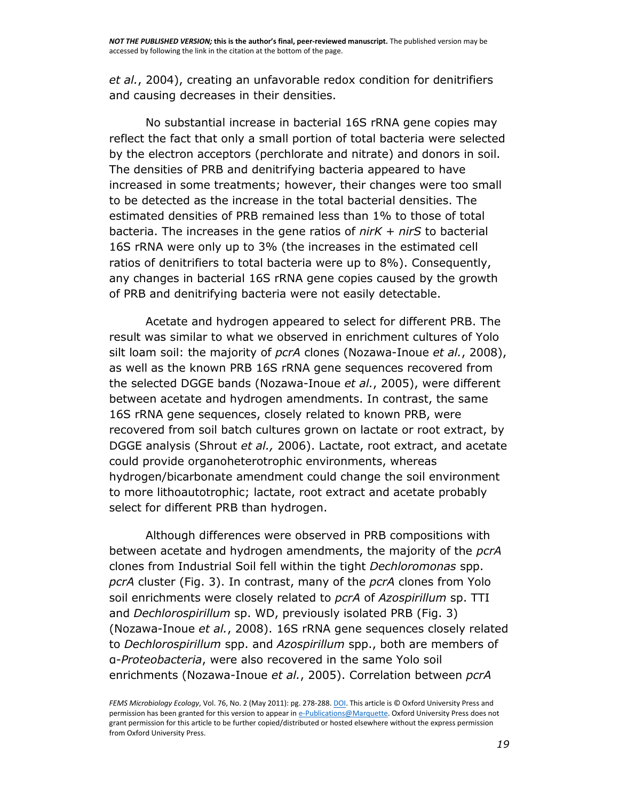*et al.*[, 2004\)](http://www.ncbi.nlm.nih.gov/pmc/articles/PMC3086929/#R55), creating an unfavorable redox condition for denitrifiers and causing decreases in their densities.

No substantial increase in bacterial 16S rRNA gene copies may reflect the fact that only a small portion of total bacteria were selected by the electron acceptors (perchlorate and nitrate) and donors in soil. The densities of PRB and denitrifying bacteria appeared to have increased in some treatments; however, their changes were too small to be detected as the increase in the total bacterial densities. The estimated densities of PRB remained less than 1% to those of total bacteria. The increases in the gene ratios of *nirK* + *nirS* to bacterial 16S rRNA were only up to 3% (the increases in the estimated cell ratios of denitrifiers to total bacteria were up to 8%). Consequently, any changes in bacterial 16S rRNA gene copies caused by the growth of PRB and denitrifying bacteria were not easily detectable.

Acetate and hydrogen appeared to select for different PRB. The result was similar to what we observed in enrichment cultures of Yolo silt loam soil: the majority of *pcrA* clones [\(Nozawa-Inoue](http://www.ncbi.nlm.nih.gov/pmc/articles/PMC3086929/#R29) *et al.*, 2008), as well as the known PRB 16S rRNA gene sequences recovered from the selected DGGE bands [\(Nozawa-Inoue](http://www.ncbi.nlm.nih.gov/pmc/articles/PMC3086929/#R28) *et al.*, 2005), were different between acetate and hydrogen amendments. In contrast, the same 16S rRNA gene sequences, closely related to known PRB, were recovered from soil batch cultures grown on lactate or root extract, by DGGE analysis [\(Shrout](http://www.ncbi.nlm.nih.gov/pmc/articles/PMC3086929/#R41) *et al.,* 2006). Lactate, root extract, and acetate could provide organoheterotrophic environments, whereas hydrogen/bicarbonate amendment could change the soil environment to more lithoautotrophic; lactate, root extract and acetate probably select for different PRB than hydrogen.

Although differences were observed in PRB compositions with between acetate and hydrogen amendments, the majority of the *pcrA* clones from Industrial Soil fell within the tight *Dechloromonas* spp. *pcrA* cluster [\(Fig. 3\)](http://www.ncbi.nlm.nih.gov/pmc/articles/PMC3086929/figure/F3/). In contrast, many of the *pcrA* clones from Yolo soil enrichments were closely related to *pcrA* of *Azospirillum* sp. TTI and *Dechlorospirillum* sp. WD, previously isolated PRB [\(Fig. 3\)](http://www.ncbi.nlm.nih.gov/pmc/articles/PMC3086929/figure/F3/) [\(Nozawa-Inoue](http://www.ncbi.nlm.nih.gov/pmc/articles/PMC3086929/#R29) *et al.*, 2008). 16S rRNA gene sequences closely related to *Dechlorospirillum* spp. and *Azospirillum* spp., both are members of α-*Proteobacteria*, were also recovered in the same Yolo soil enrichments [\(Nozawa-Inoue](http://www.ncbi.nlm.nih.gov/pmc/articles/PMC3086929/#R28) *et al.*, 2005). Correlation between *pcrA*

*FEMS Microbiology Ecology*, Vol. 76, No. 2 (May 2011): pg. 278-288[. DOI.](http://dx.doi.org/10.1111/j.1574-6941.2011.01045.x) This article is © Oxford University Press and permission has been granted for this version to appear i[n e-Publications@Marquette.](http://epublications.marquette.edu/) Oxford University Press does not grant permission for this article to be further copied/distributed or hosted elsewhere without the express permission from Oxford University Press.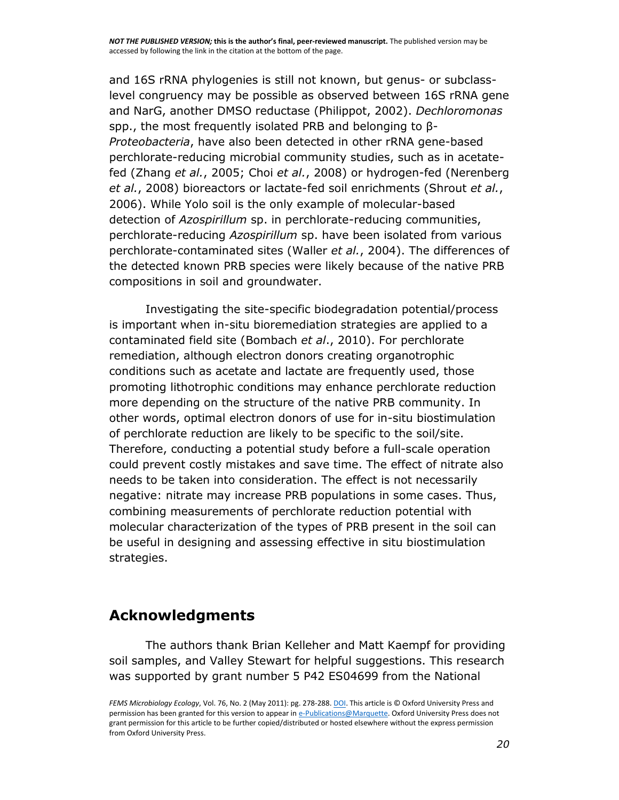*NOT THE PUBLISHED VERSION;* **this is the author's final, peer-reviewed manuscript.** The published version may be accessed by following the link in the citation at the bottom of the page.

and 16S rRNA phylogenies is still not known, but genus- or subclasslevel congruency may be possible as observed between 16S rRNA gene and NarG, another DMSO reductase [\(Philippot, 2002\)](http://www.ncbi.nlm.nih.gov/pmc/articles/PMC3086929/#R31). *Dechloromonas* spp., the most frequently isolated PRB and belonging to β-*Proteobacteria*, have also been detected in other rRNA gene-based perchlorate-reducing microbial community studies, such as in acetatefed [\(Zhang](http://www.ncbi.nlm.nih.gov/pmc/articles/PMC3086929/#R57) *et al.*, 2005; Choi *et al.*[, 2008\)](http://www.ncbi.nlm.nih.gov/pmc/articles/PMC3086929/#R8) or hydrogen-fed [\(Nerenberg](http://www.ncbi.nlm.nih.gov/pmc/articles/PMC3086929/#R27)  *et al.*[, 2008\)](http://www.ncbi.nlm.nih.gov/pmc/articles/PMC3086929/#R27) bioreactors or lactate-fed soil enrichments [\(Shrout](http://www.ncbi.nlm.nih.gov/pmc/articles/PMC3086929/#R41) *et al.*, [2006\)](http://www.ncbi.nlm.nih.gov/pmc/articles/PMC3086929/#R41). While Yolo soil is the only example of molecular-based detection of *Azospirillum* sp. in perchlorate-reducing communities, perchlorate-reducing *Azospirillum* sp. have been isolated from various perchlorate-contaminated sites [\(Waller](http://www.ncbi.nlm.nih.gov/pmc/articles/PMC3086929/#R55) *et al.*, 2004). The differences of the detected known PRB species were likely because of the native PRB compositions in soil and groundwater.

Investigating the site-specific biodegradation potential/process is important when in-situ bioremediation strategies are applied to a contaminated field site [\(Bombach](http://www.ncbi.nlm.nih.gov/pmc/articles/PMC3086929/#R4) *et al*., 2010). For perchlorate remediation, although electron donors creating organotrophic conditions such as acetate and lactate are frequently used, those promoting lithotrophic conditions may enhance perchlorate reduction more depending on the structure of the native PRB community. In other words, optimal electron donors of use for in-situ biostimulation of perchlorate reduction are likely to be specific to the soil/site. Therefore, conducting a potential study before a full-scale operation could prevent costly mistakes and save time. The effect of nitrate also needs to be taken into consideration. The effect is not necessarily negative: nitrate may increase PRB populations in some cases. Thus, combining measurements of perchlorate reduction potential with molecular characterization of the types of PRB present in the soil can be useful in designing and assessing effective in situ biostimulation strategies.

#### **Acknowledgments**

The authors thank Brian Kelleher and Matt Kaempf for providing soil samples, and Valley Stewart for helpful suggestions. This research was supported by grant number 5 P42 ES04699 from the National

*FEMS Microbiology Ecology*, Vol. 76, No. 2 (May 2011): pg. 278-288[. DOI.](http://dx.doi.org/10.1111/j.1574-6941.2011.01045.x) This article is © Oxford University Press and permission has been granted for this version to appear i[n e-Publications@Marquette.](http://epublications.marquette.edu/) Oxford University Press does not grant permission for this article to be further copied/distributed or hosted elsewhere without the express permission from Oxford University Press.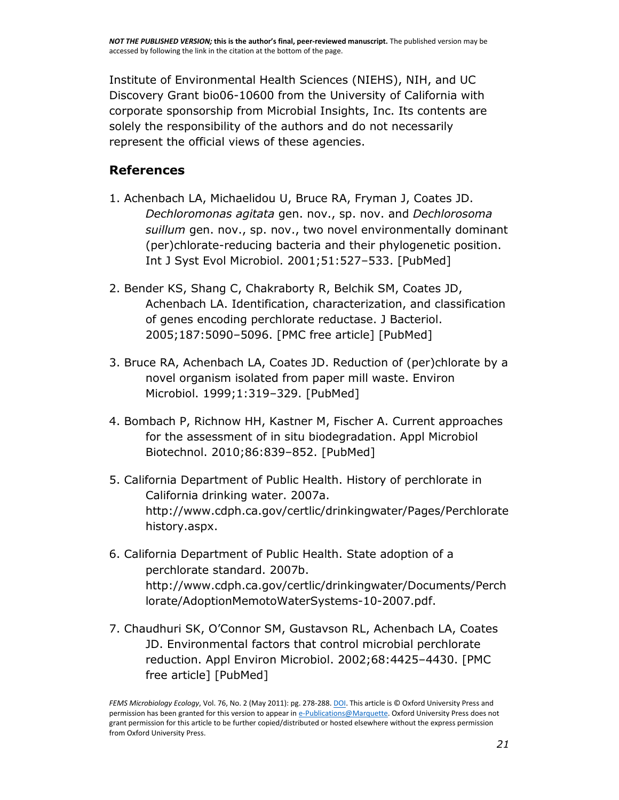Institute of Environmental Health Sciences (NIEHS), NIH, and UC Discovery Grant bio06-10600 from the University of California with corporate sponsorship from Microbial Insights, Inc. Its contents are solely the responsibility of the authors and do not necessarily represent the official views of these agencies.

#### **References**

- 1. Achenbach LA, Michaelidou U, Bruce RA, Fryman J, Coates JD. *Dechloromonas agitata* gen. nov., sp. nov. and *Dechlorosoma suillum* gen. nov., sp. nov., two novel environmentally dominant (per)chlorate-reducing bacteria and their phylogenetic position. Int J Syst Evol Microbiol. 2001;51:527–533. [\[PubMed\]](http://www.ncbi.nlm.nih.gov/pubmed/11321099)
- 2. Bender KS, Shang C, Chakraborty R, Belchik SM, Coates JD, Achenbach LA. Identification, characterization, and classification of genes encoding perchlorate reductase. J Bacteriol. 2005;187:5090–5096. [\[PMC free article\]](http://www.ncbi.nlm.nih.gov/pmc/articles/PMC1196028/) [\[PubMed\]](http://www.ncbi.nlm.nih.gov/pubmed/16030201)
- 3. Bruce RA, Achenbach LA, Coates JD. Reduction of (per)chlorate by a novel organism isolated from paper mill waste. Environ Microbiol. 1999;1:319–329. [\[PubMed\]](http://www.ncbi.nlm.nih.gov/pubmed/11207750)
- 4. Bombach P, Richnow HH, Kastner M, Fischer A. Current approaches for the assessment of in situ biodegradation. Appl Microbiol Biotechnol. 2010;86:839–852. [\[PubMed\]](http://www.ncbi.nlm.nih.gov/pubmed/20174793)
- 5. California Department of Public Health. History of perchlorate in California drinking water. 2007a. [http://www.cdph.ca.gov/certlic/drinkingwater/Pages/Perchlorate](http://www.cdph.ca.gov/certlic/drinkingwater/Pages/Perchloratehistory.aspx) [history.aspx.](http://www.cdph.ca.gov/certlic/drinkingwater/Pages/Perchloratehistory.aspx)
- 6. California Department of Public Health. State adoption of a perchlorate standard. 2007b. [http://www.cdph.ca.gov/certlic/drinkingwater/Documents/Perch](http://www.cdph.ca.gov/certlic/drinkingwater/Documents/Perchlorate/AdoptionMemotoWaterSystems-10-2007.pdf) [lorate/AdoptionMemotoWaterSystems-10-2007.pdf.](http://www.cdph.ca.gov/certlic/drinkingwater/Documents/Perchlorate/AdoptionMemotoWaterSystems-10-2007.pdf)
- 7. Chaudhuri SK, O'Connor SM, Gustavson RL, Achenbach LA, Coates JD. Environmental factors that control microbial perchlorate reduction. Appl Environ Microbiol. 2002;68:4425–4430. [\[PMC](http://www.ncbi.nlm.nih.gov/pmc/articles/PMC124121/)  [free article\]](http://www.ncbi.nlm.nih.gov/pmc/articles/PMC124121/) [\[PubMed\]](http://www.ncbi.nlm.nih.gov/pubmed/12200296)

*FEMS Microbiology Ecology*, Vol. 76, No. 2 (May 2011): pg. 278-288[. DOI.](http://dx.doi.org/10.1111/j.1574-6941.2011.01045.x) This article is © Oxford University Press and permission has been granted for this version to appear i[n e-Publications@Marquette.](http://epublications.marquette.edu/) Oxford University Press does not grant permission for this article to be further copied/distributed or hosted elsewhere without the express permission from Oxford University Press.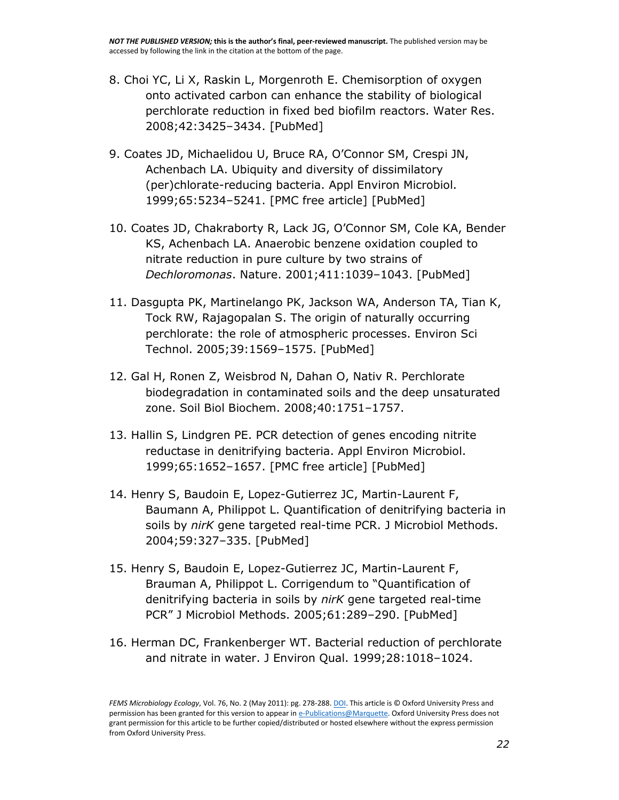- 8. Choi YC, Li X, Raskin L, Morgenroth E. Chemisorption of oxygen onto activated carbon can enhance the stability of biological perchlorate reduction in fixed bed biofilm reactors. Water Res. 2008;42:3425–3434. [\[PubMed\]](http://www.ncbi.nlm.nih.gov/pubmed/18554683)
- 9. Coates JD, Michaelidou U, Bruce RA, O'Connor SM, Crespi JN, Achenbach LA. Ubiquity and diversity of dissimilatory (per)chlorate-reducing bacteria. Appl Environ Microbiol. 1999;65:5234–5241. [\[PMC free article\]](http://www.ncbi.nlm.nih.gov/pmc/articles/PMC91710/) [\[PubMed\]](http://www.ncbi.nlm.nih.gov/pubmed/10583970)
- 10. Coates JD, Chakraborty R, Lack JG, O'Connor SM, Cole KA, Bender KS, Achenbach LA. Anaerobic benzene oxidation coupled to nitrate reduction in pure culture by two strains of *Dechloromonas*. Nature. 2001;411:1039–1043. [\[PubMed\]](http://www.ncbi.nlm.nih.gov/pubmed/11429602)
- 11. Dasgupta PK, Martinelango PK, Jackson WA, Anderson TA, Tian K, Tock RW, Rajagopalan S. The origin of naturally occurring perchlorate: the role of atmospheric processes. Environ Sci Technol. 2005;39:1569–1575. [\[PubMed\]](http://www.ncbi.nlm.nih.gov/pubmed/15819211)
- 12. Gal H, Ronen Z, Weisbrod N, Dahan O, Nativ R. Perchlorate biodegradation in contaminated soils and the deep unsaturated zone. Soil Biol Biochem. 2008;40:1751–1757.
- 13. Hallin S, Lindgren PE. PCR detection of genes encoding nitrite reductase in denitrifying bacteria. Appl Environ Microbiol. 1999;65:1652–1657. [\[PMC free article\]](http://www.ncbi.nlm.nih.gov/pmc/articles/PMC91233/) [\[PubMed\]](http://www.ncbi.nlm.nih.gov/pubmed/10103263)
- 14. Henry S, Baudoin E, Lopez-Gutierrez JC, Martin-Laurent F, Baumann A, Philippot L. Quantification of denitrifying bacteria in soils by *nirK* gene targeted real-time PCR. J Microbiol Methods. 2004;59:327–335. [\[PubMed\]](http://www.ncbi.nlm.nih.gov/pubmed/15488276)
- 15. Henry S, Baudoin E, Lopez-Gutierrez JC, Martin-Laurent F, Brauman A, Philippot L. Corrigendum to "Quantification of denitrifying bacteria in soils by *nirK* gene targeted real-time PCR" J Microbiol Methods. 2005;61:289–290. [\[PubMed\]](http://www.ncbi.nlm.nih.gov/pubmed/15488276)
- 16. Herman DC, Frankenberger WT. Bacterial reduction of perchlorate and nitrate in water. J Environ Qual. 1999;28:1018–1024.

*FEMS Microbiology Ecology*, Vol. 76, No. 2 (May 2011): pg. 278-288[. DOI.](http://dx.doi.org/10.1111/j.1574-6941.2011.01045.x) This article is © Oxford University Press and permission has been granted for this version to appear i[n e-Publications@Marquette.](http://epublications.marquette.edu/) Oxford University Press does not grant permission for this article to be further copied/distributed or hosted elsewhere without the express permission from Oxford University Press.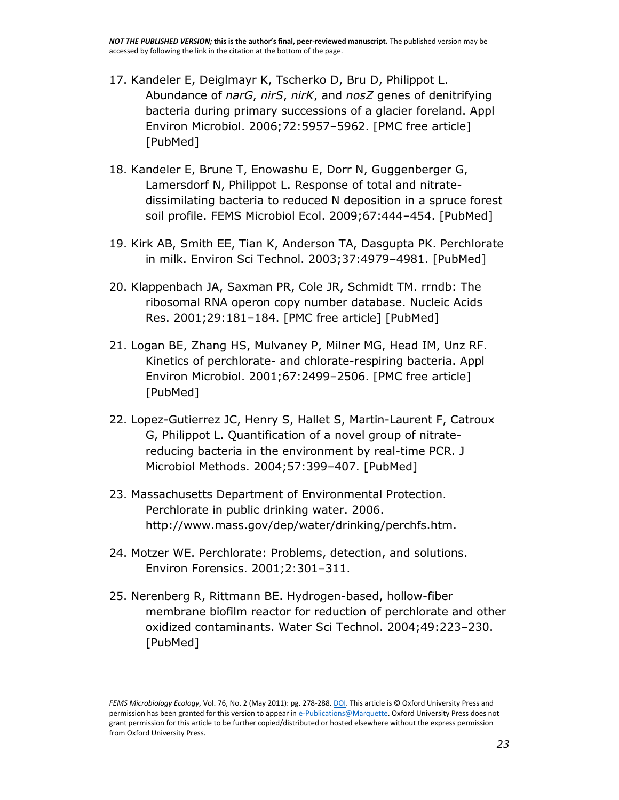- 17. Kandeler E, Deiglmayr K, Tscherko D, Bru D, Philippot L. Abundance of *narG*, *nirS*, *nirK*, and *nosZ* genes of denitrifying bacteria during primary successions of a glacier foreland. Appl Environ Microbiol. 2006;72:5957–5962. [\[PMC free article\]](http://www.ncbi.nlm.nih.gov/pmc/articles/PMC1563666/) [\[PubMed\]](http://www.ncbi.nlm.nih.gov/pubmed/16957216)
- 18. Kandeler E, Brune T, Enowashu E, Dorr N, Guggenberger G, Lamersdorf N, Philippot L. Response of total and nitratedissimilating bacteria to reduced N deposition in a spruce forest soil profile. FEMS Microbiol Ecol. 2009;67:444–454. [\[PubMed\]](http://www.ncbi.nlm.nih.gov/pubmed/19220860)
- 19. Kirk AB, Smith EE, Tian K, Anderson TA, Dasgupta PK. Perchlorate in milk. Environ Sci Technol. 2003;37:4979–4981. [\[PubMed\]](http://www.ncbi.nlm.nih.gov/pubmed/14620826)
- 20. Klappenbach JA, Saxman PR, Cole JR, Schmidt TM. rrndb: The ribosomal RNA operon copy number database. Nucleic Acids Res. 2001;29:181–184. [\[PMC free article\]](http://www.ncbi.nlm.nih.gov/pmc/articles/PMC29826/) [\[PubMed\]](http://www.ncbi.nlm.nih.gov/pubmed/11125085)
- 21. Logan BE, Zhang HS, Mulvaney P, Milner MG, Head IM, Unz RF. Kinetics of perchlorate- and chlorate-respiring bacteria. Appl Environ Microbiol. 2001;67:2499–2506. [\[PMC free article\]](http://www.ncbi.nlm.nih.gov/pmc/articles/PMC92900/) [\[PubMed\]](http://www.ncbi.nlm.nih.gov/pubmed/11375156)
- 22. Lopez-Gutierrez JC, Henry S, Hallet S, Martin-Laurent F, Catroux G, Philippot L. Quantification of a novel group of nitratereducing bacteria in the environment by real-time PCR. J Microbiol Methods. 2004;57:399–407. [\[PubMed\]](http://www.ncbi.nlm.nih.gov/pubmed/15134887)
- 23. Massachusetts Department of Environmental Protection. Perchlorate in public drinking water. 2006. [http://www.mass.gov/dep/water/drinking/perchfs.htm.](http://www.mass.gov/dep/water/drinking/perchfs.htm)
- 24. Motzer WE. Perchlorate: Problems, detection, and solutions. Environ Forensics. 2001;2:301–311.
- 25. Nerenberg R, Rittmann BE. Hydrogen-based, hollow-fiber membrane biofilm reactor for reduction of perchlorate and other oxidized contaminants. Water Sci Technol. 2004;49:223–230. [\[PubMed\]](http://www.ncbi.nlm.nih.gov/pubmed/15303745)

*FEMS Microbiology Ecology*, Vol. 76, No. 2 (May 2011): pg. 278-288[. DOI.](http://dx.doi.org/10.1111/j.1574-6941.2011.01045.x) This article is © Oxford University Press and permission has been granted for this version to appear i[n e-Publications@Marquette.](http://epublications.marquette.edu/) Oxford University Press does not grant permission for this article to be further copied/distributed or hosted elsewhere without the express permission from Oxford University Press.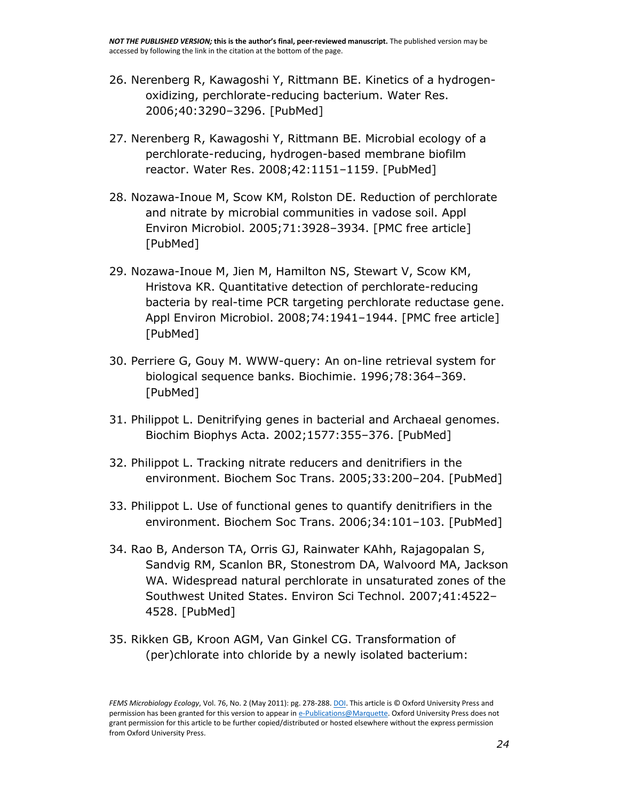- 26. Nerenberg R, Kawagoshi Y, Rittmann BE. Kinetics of a hydrogenoxidizing, perchlorate-reducing bacterium. Water Res. 2006;40:3290–3296. [\[PubMed\]](http://www.ncbi.nlm.nih.gov/pubmed/16938337)
- 27. Nerenberg R, Kawagoshi Y, Rittmann BE. Microbial ecology of a perchlorate-reducing, hydrogen-based membrane biofilm reactor. Water Res. 2008;42:1151–1159. [\[PubMed\]](http://www.ncbi.nlm.nih.gov/pubmed/17915282)
- 28. Nozawa-Inoue M, Scow KM, Rolston DE. Reduction of perchlorate and nitrate by microbial communities in vadose soil. Appl Environ Microbiol. 2005;71:3928–3934. [\[PMC free article\]](http://www.ncbi.nlm.nih.gov/pmc/articles/PMC1169015/) [\[PubMed\]](http://www.ncbi.nlm.nih.gov/pubmed/16000806)
- 29. Nozawa-Inoue M, Jien M, Hamilton NS, Stewart V, Scow KM, Hristova KR. Quantitative detection of perchlorate-reducing bacteria by real-time PCR targeting perchlorate reductase gene. Appl Environ Microbiol. 2008;74:1941–1944. [\[PMC free article\]](http://www.ncbi.nlm.nih.gov/pmc/articles/PMC2268300/) [\[PubMed\]](http://www.ncbi.nlm.nih.gov/pubmed/18245250)
- 30. Perriere G, Gouy M. WWW-query: An on-line retrieval system for biological sequence banks. Biochimie. 1996;78:364–369. [\[PubMed\]](http://www.ncbi.nlm.nih.gov/pubmed/8905155)
- 31. Philippot L. Denitrifying genes in bacterial and Archaeal genomes. Biochim Biophys Acta. 2002;1577:355–376. [\[PubMed\]](http://www.ncbi.nlm.nih.gov/pubmed/12359326)
- 32. Philippot L. Tracking nitrate reducers and denitrifiers in the environment. Biochem Soc Trans. 2005;33:200–204. [\[PubMed\]](http://www.ncbi.nlm.nih.gov/pubmed/15667307)
- 33. Philippot L. Use of functional genes to quantify denitrifiers in the environment. Biochem Soc Trans. 2006;34:101–103. [\[PubMed\]](http://www.ncbi.nlm.nih.gov/pubmed/16417493)
- 34. Rao B, Anderson TA, Orris GJ, Rainwater KAhh, Rajagopalan S, Sandvig RM, Scanlon BR, Stonestrom DA, Walvoord MA, Jackson WA. Widespread natural perchlorate in unsaturated zones of the Southwest United States. Environ Sci Technol. 2007;41:4522– 4528. [\[PubMed\]](http://www.ncbi.nlm.nih.gov/pubmed/17695891)
- 35. Rikken GB, Kroon AGM, Van Ginkel CG. Transformation of (per)chlorate into chloride by a newly isolated bacterium:

*FEMS Microbiology Ecology*, Vol. 76, No. 2 (May 2011): pg. 278-288[. DOI.](http://dx.doi.org/10.1111/j.1574-6941.2011.01045.x) This article is © Oxford University Press and permission has been granted for this version to appear i[n e-Publications@Marquette.](http://epublications.marquette.edu/) Oxford University Press does not grant permission for this article to be further copied/distributed or hosted elsewhere without the express permission from Oxford University Press.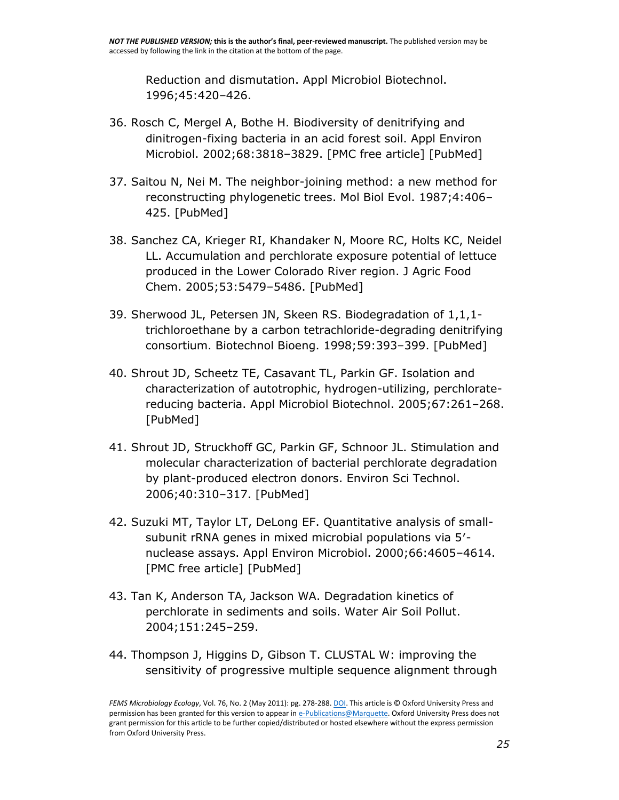Reduction and dismutation. Appl Microbiol Biotechnol. 1996;45:420–426.

- 36. Rosch C, Mergel A, Bothe H. Biodiversity of denitrifying and dinitrogen-fixing bacteria in an acid forest soil. Appl Environ Microbiol. 2002;68:3818–3829. [\[PMC free article\]](http://www.ncbi.nlm.nih.gov/pmc/articles/PMC124007/) [\[PubMed\]](http://www.ncbi.nlm.nih.gov/pubmed/12147477)
- 37. Saitou N, Nei M. The neighbor-joining method: a new method for reconstructing phylogenetic trees. Mol Biol Evol. 1987;4:406– 425. [\[PubMed\]](http://www.ncbi.nlm.nih.gov/pubmed/3447015)
- 38. Sanchez CA, Krieger RI, Khandaker N, Moore RC, Holts KC, Neidel LL. Accumulation and perchlorate exposure potential of lettuce produced in the Lower Colorado River region. J Agric Food Chem. 2005;53:5479–5486. [\[PubMed\]](http://www.ncbi.nlm.nih.gov/pubmed/15969537)
- 39. Sherwood JL, Petersen JN, Skeen RS. Biodegradation of 1,1,1 trichloroethane by a carbon tetrachloride-degrading denitrifying consortium. Biotechnol Bioeng. 1998;59:393–399. [\[PubMed\]](http://www.ncbi.nlm.nih.gov/pubmed/10099352)
- 40. Shrout JD, Scheetz TE, Casavant TL, Parkin GF. Isolation and characterization of autotrophic, hydrogen-utilizing, perchloratereducing bacteria. Appl Microbiol Biotechnol. 2005;67:261–268. [\[PubMed\]](http://www.ncbi.nlm.nih.gov/pubmed/15834721)
- 41. Shrout JD, Struckhoff GC, Parkin GF, Schnoor JL. Stimulation and molecular characterization of bacterial perchlorate degradation by plant-produced electron donors. Environ Sci Technol. 2006;40:310–317. [\[PubMed\]](http://www.ncbi.nlm.nih.gov/pubmed/16433366)
- 42. Suzuki MT, Taylor LT, DeLong EF. Quantitative analysis of smallsubunit rRNA genes in mixed microbial populations via 5′ nuclease assays. Appl Environ Microbiol. 2000;66:4605–4614. [\[PMC free article\]](http://www.ncbi.nlm.nih.gov/pmc/articles/PMC92356/) [\[PubMed\]](http://www.ncbi.nlm.nih.gov/pubmed/11055900)
- 43. Tan K, Anderson TA, Jackson WA. Degradation kinetics of perchlorate in sediments and soils. Water Air Soil Pollut. 2004;151:245–259.
- 44. Thompson J, Higgins D, Gibson T. CLUSTAL W: improving the sensitivity of progressive multiple sequence alignment through

*FEMS Microbiology Ecology*, Vol. 76, No. 2 (May 2011): pg. 278-288[. DOI.](http://dx.doi.org/10.1111/j.1574-6941.2011.01045.x) This article is © Oxford University Press and permission has been granted for this version to appear i[n e-Publications@Marquette.](http://epublications.marquette.edu/) Oxford University Press does not grant permission for this article to be further copied/distributed or hosted elsewhere without the express permission from Oxford University Press.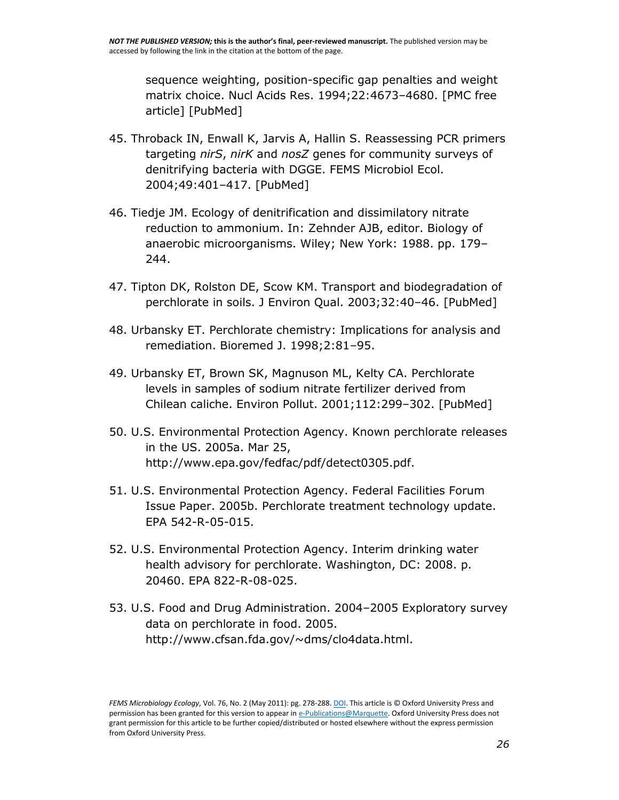sequence weighting, position-specific gap penalties and weight matrix choice. Nucl Acids Res. 1994;22:4673–4680. [\[PMC free](http://www.ncbi.nlm.nih.gov/pmc/articles/PMC308517/)  [article\]](http://www.ncbi.nlm.nih.gov/pmc/articles/PMC308517/) [\[PubMed\]](http://www.ncbi.nlm.nih.gov/pubmed/7984417)

- 45. Throback IN, Enwall K, Jarvis A, Hallin S. Reassessing PCR primers targeting *nirS*, *nirK* and *nosZ* genes for community surveys of denitrifying bacteria with DGGE. FEMS Microbiol Ecol. 2004;49:401–417. [\[PubMed\]](http://www.ncbi.nlm.nih.gov/pubmed/19712290)
- 46. Tiedje JM. Ecology of denitrification and dissimilatory nitrate reduction to ammonium. In: Zehnder AJB, editor. Biology of anaerobic microorganisms. Wiley; New York: 1988. pp. 179– 244.
- 47. Tipton DK, Rolston DE, Scow KM. Transport and biodegradation of perchlorate in soils. J Environ Qual. 2003;32:40–46. [\[PubMed\]](http://www.ncbi.nlm.nih.gov/pubmed/12549540)
- 48. Urbansky ET. Perchlorate chemistry: Implications for analysis and remediation. Bioremed J. 1998;2:81–95.
- 49. Urbansky ET, Brown SK, Magnuson ML, Kelty CA. Perchlorate levels in samples of sodium nitrate fertilizer derived from Chilean caliche. Environ Pollut. 2001;112:299–302. [\[PubMed\]](http://www.ncbi.nlm.nih.gov/pubmed/11291435)
- 50. U.S. Environmental Protection Agency. Known perchlorate releases in the US. 2005a. Mar 25, [http://www.epa.gov/fedfac/pdf/detect0305.pdf.](http://www.epa.gov/fedfac/pdf/detect0305.pdf)
- 51. U.S. Environmental Protection Agency. Federal Facilities Forum Issue Paper. 2005b. Perchlorate treatment technology update. EPA 542-R-05-015.
- 52. U.S. Environmental Protection Agency. Interim drinking water health advisory for perchlorate. Washington, DC: 2008. p. 20460. EPA 822-R-08-025.
- 53. U.S. Food and Drug Administration. 2004–2005 Exploratory survey data on perchlorate in food. 2005. [http://www.cfsan.fda.gov/~dms/clo4data.html.](http://www.cfsan.fda.gov/~dms/clo4data.html)

*FEMS Microbiology Ecology*, Vol. 76, No. 2 (May 2011): pg. 278-288[. DOI.](http://dx.doi.org/10.1111/j.1574-6941.2011.01045.x) This article is © Oxford University Press and permission has been granted for this version to appear i[n e-Publications@Marquette.](http://epublications.marquette.edu/) Oxford University Press does not grant permission for this article to be further copied/distributed or hosted elsewhere without the express permission from Oxford University Press.